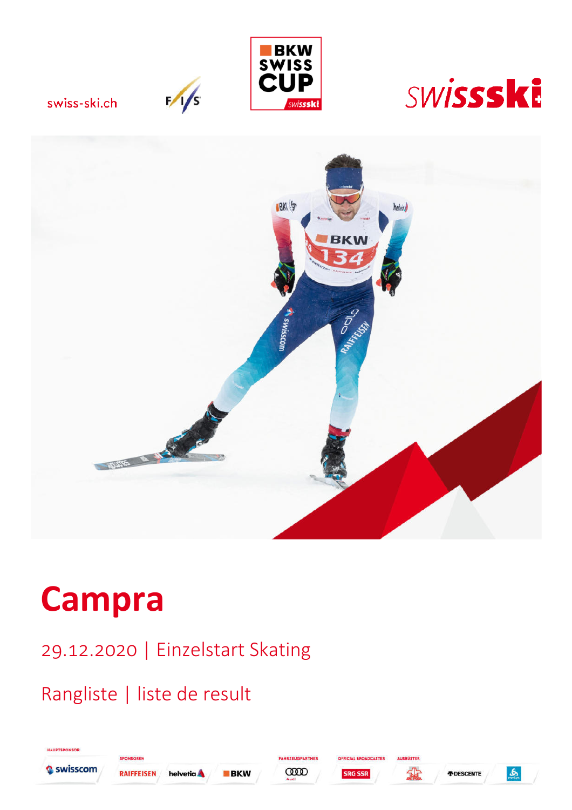

swiss-ski.ch

 $\frac{1}{s}$ 





# **Campra**

29.12.2020 | Einzelstart Skating

## Rangliste | liste de result



**HAUPTSPONSOR** 









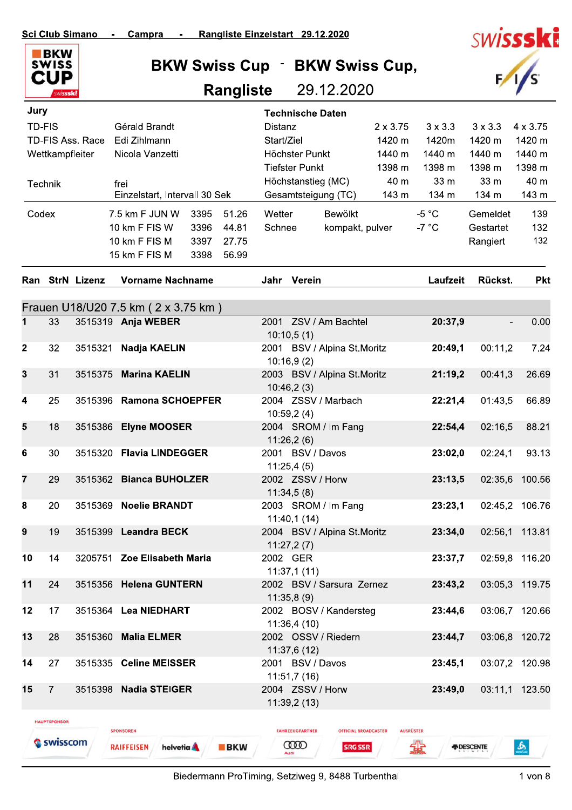

| Rangliste Einzelstart 29.12.2020<br>pra<br>$\mathcal{L}^{\mathcal{L}}(\mathcal{L}^{\mathcal{L}}(\mathcal{L}^{\mathcal{L}}(\mathcal{L}^{\mathcal{L}}(\mathcal{L}^{\mathcal{L}}(\mathcal{L}^{\mathcal{L}}(\mathcal{L}^{\mathcal{L}}(\mathcal{L}^{\mathcal{L}}(\mathcal{L}^{\mathcal{L}}(\mathcal{L}^{\mathcal{L}}(\mathcal{L}^{\mathcal{L}}(\mathcal{L}^{\mathcal{L}}(\mathcal{L}^{\mathcal{L}}(\mathcal{L}^{\mathcal{L}}(\mathcal{L}^{\mathcal{L}}(\mathcal{L}^{\mathcal{L}}(\mathcal{L}^{\mathcal{L$ |                             | <b>SWISSSKI</b> |
|------------------------------------------------------------------------------------------------------------------------------------------------------------------------------------------------------------------------------------------------------------------------------------------------------------------------------------------------------------------------------------------------------------------------------------------------------------------------------------------------------|-----------------------------|-----------------|
| <b>BKW Swiss Cup · BKW Swiss Cup,</b>                                                                                                                                                                                                                                                                                                                                                                                                                                                                |                             | F/1/s           |
|                                                                                                                                                                                                                                                                                                                                                                                                                                                                                                      | <b>Rangliste</b> 29.12.2020 |                 |

| Jury         |                     |                         |                                        |      |            | <b>Technische Daten</b>                  |                                 |                  |                 |                          |                 |
|--------------|---------------------|-------------------------|----------------------------------------|------|------------|------------------------------------------|---------------------------------|------------------|-----------------|--------------------------|-----------------|
|              | <b>TD-FIS</b>       |                         | Gérald Brandt                          |      |            | <b>Distanz</b>                           |                                 | $2 \times 3.75$  | $3 \times 3.3$  | $3 \times 3.3$           | $4 \times 3.75$ |
|              |                     | <b>TD-FIS Ass. Race</b> | Edi Zihlmann                           |      |            | Start/Ziel                               |                                 | 1420 m           | 1420m           | 1420 m                   | 1420 m          |
|              | Wettkampfleiter     |                         | Nicola Vanzetti                        |      |            | Höchster Punkt                           |                                 | 1440 m           | 1440 m          | 1440 m                   | 1440 m          |
|              |                     |                         |                                        |      |            |                                          | <b>Tiefster Punkt</b><br>1398 m |                  | 1398 m          | 1398 m                   | 1398 m          |
|              | Technik             |                         | frei                                   |      |            | Höchstanstieg (MC)                       |                                 | 40 m             | 33 m            | 33 m                     | 40 m            |
|              |                     |                         | Einzelstart, Intervall 30 Sek          |      |            | Gesamtsteigung (TC)                      |                                 | 143 m            | 134 m           | 134 m                    | 143 m           |
| Codex        |                     |                         | 7.5 km F JUN W                         | 3395 | 51.26      | Wetter                                   | Bewölkt                         |                  | $-5 °C$         | Gemeldet                 | 139             |
|              |                     |                         | 10 km F FIS W                          | 3396 | 44.81      | Schnee                                   | kompakt, pulver                 |                  | -7 $^{\circ}$ C | Gestartet                | 132             |
|              |                     |                         | 10 km F FIS M                          | 3397 | 27.75      |                                          |                                 |                  |                 | Rangiert                 | 132             |
|              |                     |                         | 15 km F FIS M                          | 3398 | 56.99      |                                          |                                 |                  |                 |                          |                 |
|              |                     | Ran StrN Lizenz         | <b>Vorname Nachname</b>                |      |            | Jahr Verein                              |                                 |                  | Laufzeit        | Rückst.                  | <b>Pkt</b>      |
|              |                     |                         |                                        |      |            |                                          |                                 |                  |                 |                          |                 |
|              |                     |                         | Frauen U18/U20 7.5 km ( 2 x 3.75 km)   |      |            |                                          |                                 |                  |                 |                          |                 |
| 1            | 33                  |                         | 3515319 Anja WEBER                     |      |            | 2001 ZSV / Am Bachtel<br>10:10,5(1)      |                                 |                  | 20:37,9         |                          | 0.00            |
| $\mathbf{2}$ | 32                  | 3515321                 | Nadja KAELIN                           |      |            | 2001 BSV / Alpina St.Moritz              |                                 |                  | 20:49,1         | 00:11,2                  | 7.24            |
|              |                     |                         |                                        |      |            | 10:16,9(2)                               |                                 |                  |                 |                          |                 |
| 3            | 31                  | 3515375                 | <b>Marina KAELIN</b>                   |      |            | 2003 BSV / Alpina St.Moritz              |                                 |                  | 21:19,2         | 00:41,3                  | 26.69           |
|              |                     |                         |                                        |      |            | 10:46,2(3)                               |                                 |                  |                 |                          |                 |
| 4            | 25                  |                         | 3515396 Ramona SCHOEPFER               |      |            | 2004 ZSSV / Marbach                      |                                 |                  | 22:21,4         | 01:43,5                  | 66.89           |
| 5            | 18                  | 3515386                 | <b>Elyne MOOSER</b>                    |      |            | 10:59,2(4)<br>2004 SROM / Im Fang        |                                 |                  | 22:54,4         | 02:16,5                  | 88.21           |
|              |                     |                         |                                        |      |            | 11:26,2(6)                               |                                 |                  |                 |                          |                 |
| 6            | 30                  |                         | 3515320 Flavia LINDEGGER               |      |            | 2001 BSV / Davos                         |                                 |                  | 23:02,0         | 02:24,1                  | 93.13           |
|              |                     |                         |                                        |      |            | 11:25,4(5)                               |                                 |                  |                 |                          |                 |
| 7            | 29                  |                         | 3515362 Bianca BUHOLZER                |      |            | 2002 ZSSV / Horw                         |                                 |                  | 23:13,5         | 02:35,6                  | 100.56          |
|              |                     |                         |                                        |      |            | 11:34,5(8)                               |                                 |                  |                 |                          |                 |
| 8            | 20                  | 3515369                 | <b>Noelie BRANDT</b>                   |      |            | 2003 SROM / Im Fang                      |                                 |                  | 23:23,1         | 02:45,2                  | 106.76          |
|              |                     |                         |                                        |      |            | 11:40,1(14)                              |                                 |                  |                 |                          |                 |
| 9            | 19                  |                         | 3515399 Leandra BECK                   |      |            | 2004 BSV / Alpina St.Moritz              |                                 |                  | 23:34,0         |                          | 02:56,1 113.81  |
|              |                     |                         |                                        |      |            | 11:27,2(7)                               |                                 |                  |                 |                          |                 |
| 10           | 14                  |                         | 3205751 Zoe Elisabeth Maria            |      |            | 2002 GER                                 |                                 |                  | 23:37,7         |                          | 02:59,8 116.20  |
| 11           | 24                  |                         | 3515356 Helena GUNTERN                 |      |            | 11:37,1(11)<br>2002 BSV / Sarsura Zernez |                                 |                  | 23:43,2         |                          | 03:05,3 119.75  |
|              |                     |                         |                                        |      |            | 11:35,8(9)                               |                                 |                  |                 |                          |                 |
| 12           | 17                  |                         | 3515364 Lea NIEDHART                   |      |            | 2002 BOSV / Kandersteg                   |                                 |                  | 23:44,6         |                          | 03:06,7 120.66  |
|              |                     |                         |                                        |      |            | 11:36,4(10)                              |                                 |                  |                 |                          |                 |
| 13           | 28                  |                         | 3515360 Malia ELMER                    |      |            | 2002 OSSV / Riedern                      |                                 |                  | 23:44,7         |                          | 03:06,8 120.72  |
|              |                     |                         |                                        |      |            | 11:37,6 (12)                             |                                 |                  |                 |                          |                 |
| 14           | 27                  |                         | 3515335 Celine MEISSER                 |      |            | 2001 BSV / Davos                         |                                 |                  | 23:45,1         |                          | 03:07,2 120.98  |
|              |                     |                         |                                        |      |            | 11:51,7(16)                              |                                 |                  |                 |                          |                 |
| 15           | $\overline{7}$      |                         | 3515398 Nadia STEIGER                  |      |            | 2004 ZSSV / Horw                         |                                 |                  | 23:49,0         |                          | 03:11,1 123.50  |
|              |                     |                         |                                        |      |            | 11:39,2(13)                              |                                 |                  |                 |                          |                 |
|              | <b>HAUPTSPONSOR</b> |                         | <b>SPONSOREN</b>                       |      |            | <b>FAHRZEUGPARTNER</b>                   | <b>OFFICIAL BROADCASTER</b>     | <b>AUSRÜSTER</b> |                 |                          |                 |
|              | Swisscom            |                         | helvetia <b>A</b><br><b>RAIFFEISEN</b> |      | <b>BKW</b> | œœ                                       | <b>SRG SSR</b>                  |                  | ⋦⋤              | <b><i>N</i></b> DESCENTE | $\frac{1}{2}$   |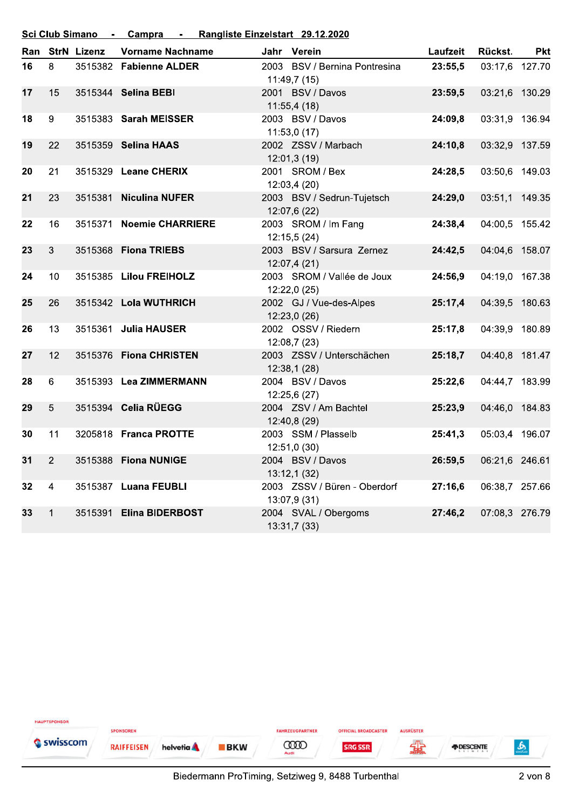Sci Club Simano - Campra - Rangliste Einzelstart 29.12.2020

|    |    | Ran StrN Lizenz | <b>Vorname Nachname</b> | Jahr Verein                                  | Laufzeit | Rückst.        | <b>Pkt</b> |
|----|----|-----------------|-------------------------|----------------------------------------------|----------|----------------|------------|
| 16 | 8  |                 | 3515382 Fabienne ALDER  | 2003 BSV / Bernina Pontresina<br>11:49,7(15) | 23:55,5  | 03:17,6 127.70 |            |
| 17 | 15 |                 | 3515344 Selina BEBI     | 2001 BSV / Davos<br>11:55,4(18)              | 23:59,5  | 03:21,6 130.29 |            |
| 18 | 9  |                 | 3515383 Sarah MEISSER   | 2003 BSV / Davos<br>11:53,0(17)              | 24:09,8  | 03:31,9 136.94 |            |
| 19 | 22 |                 | 3515359 Selina HAAS     | 2002 ZSSV / Marbach<br>12:01,3(19)           | 24:10,8  | 03:32,9 137.59 |            |
| 20 | 21 |                 | 3515329 Leane CHERIX    | 2001 SROM / Bex<br>12:03,4(20)               | 24:28,5  | 03:50,6 149.03 |            |
| 21 | 23 | 3515381         | <b>Niculina NUFER</b>   | 2003 BSV / Sedrun-Tujetsch<br>12:07,6 (22)   | 24:29,0  | 03:51,1 149.35 |            |
| 22 | 16 | 3515371         | <b>Noemie CHARRIERE</b> | 2003 SROM / Im Fang<br>12:15,5(24)           | 24:38,4  | 04:00,5 155.42 |            |
| 23 | 3  | 3515368         | <b>Fiona TRIEBS</b>     | 2003 BSV / Sarsura Zernez<br>12:07,4(21)     | 24:42,5  | 04:04,6 158.07 |            |
| 24 | 10 |                 | 3515385 Lilou FREIHOLZ  | 2003 SROM / Vallée de Joux<br>12:22,0 (25)   | 24:56,9  | 04:19,0 167.38 |            |
| 25 | 26 |                 | 3515342 Lola WUTHRICH   | 2002 GJ / Vue-des-Alpes<br>12:23,0(26)       | 25:17,4  | 04:39,5 180.63 |            |
| 26 | 13 |                 | 3515361 Julia HAUSER    | 2002 OSSV / Riedern<br>12:08,7 (23)          | 25:17,8  | 04:39,9 180.89 |            |
| 27 | 12 |                 | 3515376 Fiona CHRISTEN  | 2003 ZSSV / Unterschächen<br>12:38,1(28)     | 25:18,7  | 04:40,8 181.47 |            |
| 28 | 6  |                 | 3515393 Lea ZIMMERMANN  | 2004 BSV / Davos<br>12:25,6 (27)             | 25:22,6  | 04:44,7 183.99 |            |
| 29 | 5  |                 | 3515394 Celia RÜEGG     | 2004 ZSV / Am Bachtel<br>12:40,8 (29)        | 25:23,9  | 04:46,0 184.83 |            |
| 30 | 11 |                 | 3205818 Franca PROTTE   | 2003 SSM / Plasselb<br>12:51,0(30)           | 25:41,3  | 05:03,4 196.07 |            |
| 31 | 2  | 3515388         | <b>Fiona NUNIGE</b>     | 2004 BSV / Davos<br>13:12,1(32)              | 26:59,5  | 06:21,6 246.61 |            |
| 32 | 4  |                 | 3515387 Luana FEUBLI    | 2003 ZSSV / Büren - Oberdorf<br>13:07,9 (31) | 27:16,6  | 06:38,7 257.66 |            |
| 33 | 1  | 3515391         | <b>Elina BIDERBOST</b>  | 2004 SVAL / Obergoms<br>13:31,7(33)          | 27:46.2  | 07:08,3 276.79 |            |

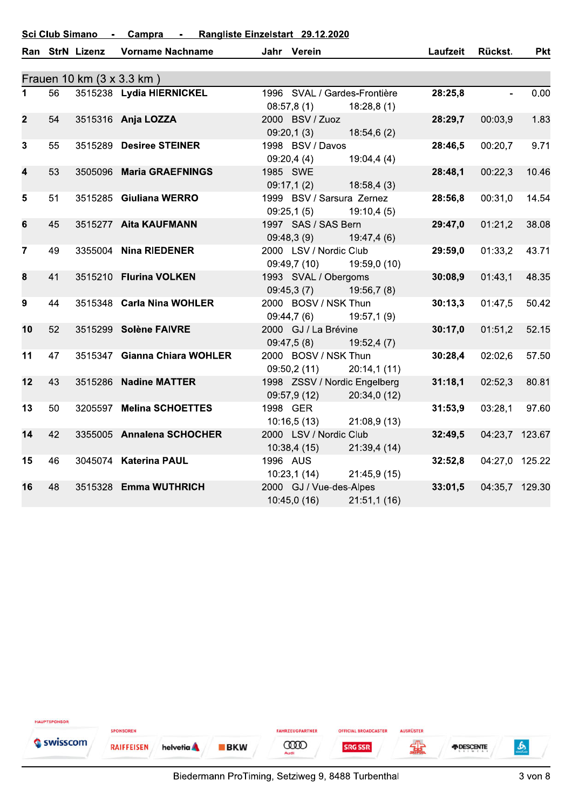Sci Club Simano - Campra - Rangliste Einzelstart 29.12.2020

|                         |    | Ran StrN Lizenz           | <b>Vorname Nachname</b>      | Jahr Verein                             |              | Laufzeit | Rückst.        | <b>Pkt</b> |
|-------------------------|----|---------------------------|------------------------------|-----------------------------------------|--------------|----------|----------------|------------|
|                         |    | Frauen 10 km (3 x 3.3 km) |                              |                                         |              |          |                |            |
| $\mathbf 1$             | 56 |                           | 3515238 Lydia HIERNICKEL     | 1996 SVAL / Gardes-Frontière            |              | 28:25,8  | $\blacksquare$ | 0.00       |
|                         |    |                           |                              | 08:57,8(1)                              | 18:28,8(1)   |          |                |            |
| $\overline{2}$          | 54 |                           | 3515316 Anja LOZZA           | 2000 BSV / Zuoz                         |              | 28:29,7  | 00:03,9        | 1.83       |
|                         |    |                           |                              | 09:20,1(3)                              | 18:54,6(2)   |          |                |            |
| $\mathbf{3}$            | 55 |                           | 3515289 Desiree STEINER      | 1998 BSV / Davos                        |              | 28:46,5  | 00:20,7        | 9.71       |
|                         |    |                           |                              | 09:20,4(4)                              | 19:04,4(4)   |          |                |            |
| $\overline{\mathbf{4}}$ | 53 | 3505096                   | <b>Maria GRAEFNINGS</b>      | 1985 SWE                                |              | 28:48,1  | 00:22,3        | 10.46      |
| 5                       | 51 |                           | 3515285 Giuliana WERRO       | 09:17,1(2)<br>1999 BSV / Sarsura Zernez | 18:58,4(3)   |          | 00:31,0        | 14.54      |
|                         |    |                           |                              | 09:25,1(5)                              | 19:10,4(5)   | 28:56,8  |                |            |
| $6\phantom{1}$          | 45 |                           | 3515277 Aita KAUFMANN        | 1997 SAS / SAS Bern                     |              | 29:47,0  | 01:21,2        | 38.08      |
|                         |    |                           |                              | 09:48,3(9)                              | 19:47,4(6)   |          |                |            |
| $\overline{7}$          | 49 |                           | 3355004 Nina RIEDENER        | 2000 LSV / Nordic Club                  |              | 29:59,0  | 01:33,2        | 43.71      |
|                         |    |                           |                              | 09:49,7 (10)                            | 19:59,0 (10) |          |                |            |
| 8                       | 41 |                           | 3515210 Flurina VOLKEN       | 1993 SVAL / Obergoms                    |              | 30:08,9  | 01:43,1        | 48.35      |
|                         |    |                           |                              | 09:45,3(7)                              | 19:56,7(8)   |          |                |            |
| 9                       | 44 |                           | 3515348 Carla Nina WOHLER    | 2000 BOSV / NSK Thun                    |              | 30:13,3  | 01:47,5        | 50.42      |
|                         |    |                           |                              | 09:44,7(6)                              | 19:57,1(9)   |          |                |            |
| 10                      | 52 |                           | 3515299 Solène FAIVRE        | 2000 GJ / La Brévine                    |              | 30:17,0  | 01:51,2        | 52.15      |
| 11                      |    |                           | 3515347 Gianna Chiara WOHLER | 09:47,5(8)<br>2000 BOSV / NSK Thun      | 19:52,4(7)   | 30:28,4  |                | 57.50      |
|                         | 47 |                           |                              | 09:50,2 (11)                            | 20:14,1(11)  |          | 02:02,6        |            |
| 12                      | 43 | 3515286                   | <b>Nadine MATTER</b>         | 1998 ZSSV / Nordic Engelberg            |              | 31:18,1  | 02:52,3        | 80.81      |
|                         |    |                           |                              | 09:57,9 (12)                            | 20:34,0 (12) |          |                |            |
| 13                      | 50 |                           | 3205597 Melina SCHOETTES     | 1998 GER                                |              | 31:53,9  | 03:28,1        | 97.60      |
|                         |    |                           |                              | 10:16,5(13)                             | 21:08,9(13)  |          |                |            |
| 14                      | 42 |                           | 3355005 Annalena SCHOCHER    | 2000 LSV / Nordic Club                  |              | 32:49,5  | 04:23,7 123.67 |            |
|                         |    |                           |                              | 10:38,4(15)                             | 21:39,4 (14) |          |                |            |
| 15                      | 46 |                           | 3045074 Katerina PAUL        | 1996 AUS                                |              | 32:52,8  | 04:27,0 125.22 |            |
|                         |    |                           |                              | 10:23,1(14)                             | 21:45,9 (15) |          |                |            |
| 16                      | 48 |                           | 3515328 Emma WUTHRICH        | 2000 GJ / Vue-des-Alpes                 |              | 33:01,5  | 04:35,7 129.30 |            |
|                         |    |                           |                              | 10:45,0 (16)                            | 21:51,1(16)  |          |                |            |

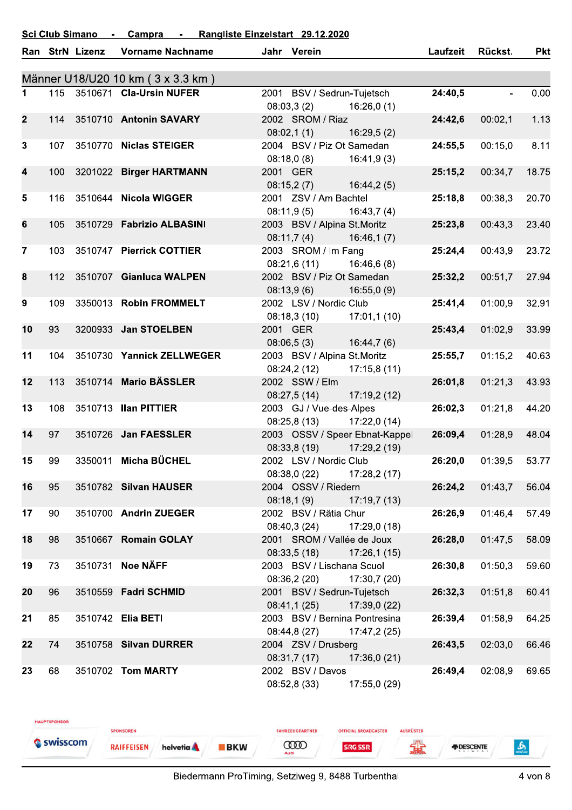#### Rangliste Einzelstart 29.12.2020 **Sci Club Simano** Campra  $\sim$  $\sim$

|                |     | Ran StrN Lizenz | <b>Vorname Nachname</b>           | Jahr Verein                       |                                | Laufzeit | Rückst. | <b>Pkt</b> |
|----------------|-----|-----------------|-----------------------------------|-----------------------------------|--------------------------------|----------|---------|------------|
|                |     |                 | Männer U18/U20 10 km (3 x 3.3 km) |                                   |                                |          |         |            |
| 1.             |     |                 | 115 3510671 Cla-Ursin NUFER       | 2001 BSV / Sedrun-Tujetsch        |                                | 24:40,5  |         | 0.00       |
|                |     |                 |                                   | 08:03,3(2)                        | 16:26,0(1)                     |          |         |            |
| $\mathbf{2}$   | 114 |                 | 3510710 Antonin SAVARY            | 2002 SROM / Riaz                  |                                | 24:42,6  | 00:02,1 | 1.13       |
|                |     |                 |                                   | 08:02,1(1)                        | 16:29,5(2)                     |          |         |            |
| $\mathbf{3}$   | 107 |                 | 3510770 Niclas STEIGER            | 2004 BSV / Piz Ot Samedan         |                                | 24:55,5  | 00:15,0 | 8.11       |
|                |     |                 |                                   | 08:18,0(8)                        | 16:41,9(3)                     |          |         |            |
| 4              | 100 |                 | 3201022 Birger HARTMANN           | 2001 GER                          |                                | 25:15,2  | 00:34,7 | 18.75      |
|                |     |                 |                                   | 08:15,2(7)                        | 16:44,2(5)                     |          |         |            |
| 5              | 116 |                 | 3510644 Nicola WIGGER             | 2001 ZSV / Am Bachtel             |                                | 25:18,8  | 00:38,3 | 20.70      |
|                |     |                 |                                   | 08:11,9(5)                        | 16:43,7(4)                     |          |         |            |
| 6              | 105 |                 | 3510729 Fabrizio ALBASINI         | 2003 BSV / Alpina St.Moritz       |                                | 25:23,8  | 00:43,3 | 23.40      |
|                |     |                 |                                   |                                   | 16:46,1(7)                     |          |         |            |
| $\overline{7}$ | 103 |                 | 3510747 Pierrick COTTIER          | 08:11,7(4)<br>2003 SROM / Im Fang |                                | 25:24,4  |         | 23.72      |
|                |     |                 |                                   |                                   |                                |          | 00:43,9 |            |
|                |     |                 |                                   | 08:21,6(11)                       | 16:46,6(8)                     |          |         |            |
| 8              | 112 |                 | 3510707 Gianluca WALPEN           | 2002 BSV / Piz Ot Samedan         |                                | 25:32,2  | 00:51,7 | 27.94      |
|                |     |                 |                                   | 08:13,9(6)                        | 16:55,0(9)                     |          |         |            |
| 9              | 109 |                 | 3350013 Robin FROMMELT            | 2002 LSV / Nordic Club            |                                | 25:41,4  | 01:00.9 | 32.91      |
|                |     |                 |                                   | 08:18,3(10)                       | 17:01,1(10)                    |          |         |            |
| 10             | 93  |                 | 3200933 Jan STOELBEN              | 2001 GER                          |                                | 25:43,4  | 01:02,9 | 33.99      |
|                |     |                 |                                   | 08:06,5(3)                        | 16:44,7(6)                     |          |         |            |
| 11             | 104 |                 | 3510730 Yannick ZELLWEGER         | 2003 BSV / Alpina St.Moritz       |                                | 25:55,7  | 01:15,2 | 40.63      |
|                |     |                 |                                   | 08:24,2(12)                       | 17:15,8(11)                    |          |         |            |
| 12             | 113 |                 | 3510714 Mario BÄSSLER             | 2002 SSW / Elm                    |                                | 26:01,8  | 01:21,3 | 43.93      |
|                |     |                 |                                   | 08:27,5(14)                       | 17:19,2(12)                    |          |         |            |
| 13             | 108 |                 | 3510713 Ilan PITTIER              | 2003 GJ / Vue-des-Alpes           |                                | 26:02,3  | 01:21,8 | 44.20      |
|                |     |                 |                                   | 08:25,8(13)                       | 17:22,0(14)                    |          |         |            |
| 14             | 97  |                 | 3510726 Jan FAESSLER              |                                   | 2003 OSSV / Speer Ebnat-Kappel | 26:09,4  | 01:28.9 | 48.04      |
|                |     |                 |                                   | 08:33,8(19)                       | 17:29,2 (19)                   |          |         |            |
| 15             | 99  |                 | 3350011 Micha BÜCHEL              | 2002 LSV / Nordic Club            |                                | 26:20,0  | 01:39,5 | 53.77      |
|                |     |                 |                                   | 08:38,0 (22) 17:28,2 (17)         |                                |          |         |            |
| 16             | 95  |                 | 3510782 Silvan HAUSER             | 2004 OSSV / Riedern               |                                | 26:24,2  | 01:43,7 | 56.04      |
|                |     |                 |                                   | 08:18,1(9)                        | 17:19,7 (13)                   |          |         |            |
| 17             | 90  |                 | 3510700 Andrin ZUEGER             | 2002 BSV / Rätia Chur             |                                | 26:26,9  | 01:46,4 | 57.49      |
|                |     |                 |                                   | 08:40,3(24)                       | 17:29,0 (18)                   |          |         |            |
| 18             | 98  |                 | 3510667 Romain GOLAY              | 2001 SROM / Vallée de Joux        |                                | 26:28,0  | 01:47,5 | 58.09      |
|                |     |                 |                                   | 08:33,5(18)                       | 17:26,1(15)                    |          |         |            |
| 19             | 73  |                 | 3510731 Noe NÄFF                  | 2003 BSV / Lischana Scuol         |                                | 26:30,8  | 01:50,3 | 59.60      |
|                |     |                 |                                   | 08:36,2 (20) 17:30,7 (20)         |                                |          |         |            |
| 20             | 96  |                 | 3510559 Fadri SCHMID              | 2001 BSV / Sedrun-Tujetsch        |                                | 26:32,3  | 01:51,8 | 60.41      |
|                |     |                 |                                   | 08:41,1(25)                       | 17:39,0 (22)                   |          |         |            |
| 21             | 85  |                 | 3510742 Elia BETI                 | 2003 BSV / Bernina Pontresina     |                                | 26:39,4  | 01:58,9 | 64.25      |
|                |     |                 |                                   | 08:44,8 (27)                      | 17:47,2 (25)                   |          |         |            |
| 22             | 74  |                 | 3510758 Silvan DURRER             | 2004 ZSV / Drusberg               |                                | 26:43,5  | 02:03,0 | 66.46      |
|                |     |                 |                                   | 08:31,7(17)                       | 17:36,0 (21)                   |          |         |            |
| 23             | 68  |                 | 3510702 Tom MARTY                 | 2002 BSV / Davos                  |                                | 26:49,4  | 02:08,9 | 69.65      |
|                |     |                 |                                   |                                   |                                |          |         |            |
|                |     |                 |                                   | 08:52,8 (33)                      | 17:55,0 (29)                   |          |         |            |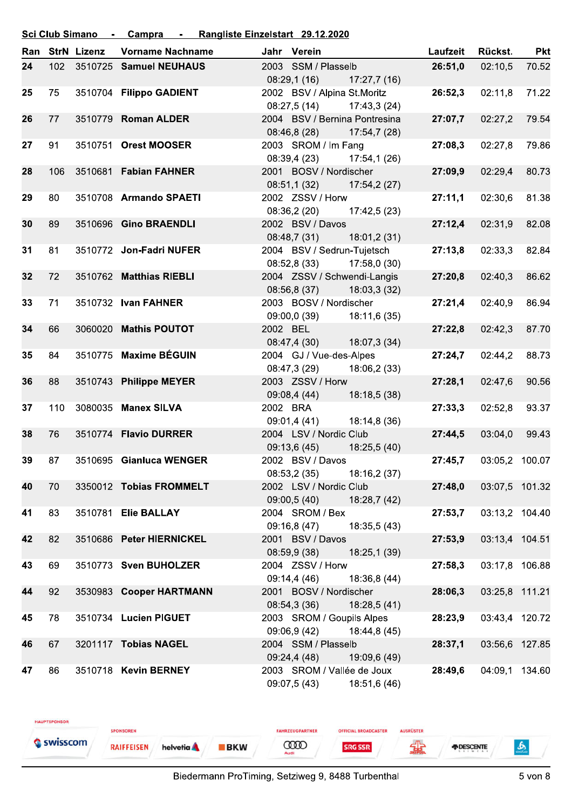#### Rangliste Einzelstart 29.12.2020 **Sci Club Simano** Campra  $\sim$ j.

| Ran |     | <b>StrN Lizenz</b> | <b>Vorname Nachname</b>  |          | Jahr Verein                 |                               | Laufzeit | Rückst.        | <b>Pkt</b> |
|-----|-----|--------------------|--------------------------|----------|-----------------------------|-------------------------------|----------|----------------|------------|
| 24  | 102 |                    | 3510725 Samuel NEUHAUS   |          | 2003 SSM / Plasselb         |                               | 26:51.0  | 02:10,5        | 70.52      |
|     |     |                    |                          |          | 08:29,1(16)                 | 17:27,7 (16)                  |          |                |            |
| 25  | 75  |                    | 3510704 Filippo GADIENT  |          | 2002 BSV / Alpina St.Moritz |                               | 26:52,3  | 02:11,8        | 71.22      |
|     |     |                    |                          |          | 08:27,5 (14)                | 17:43,3 (24)                  |          |                |            |
| 26  | 77  |                    | 3510779 Roman ALDER      |          |                             | 2004 BSV / Bernina Pontresina | 27:07,7  | 02:27,2        | 79.54      |
|     |     |                    |                          |          | 08:46,8 (28)                | 17:54,7 (28)                  |          |                |            |
| 27  | 91  |                    | 3510751 Orest MOOSER     |          | 2003 SROM / Im Fang         |                               | 27:08,3  | 02:27.8        | 79.86      |
|     |     |                    |                          |          |                             | 08:39,4 (23) 17:54,1 (26)     |          |                |            |
| 28  | 106 |                    | 3510681 Fabian FAHNER    |          | 2001 BOSV / Nordischer      |                               | 27:09,9  | 02:29,4        | 80.73      |
|     |     |                    |                          |          | 08:51,1(32)                 | 17:54,2 (27)                  |          |                |            |
| 29  | 80  |                    | 3510708 Armando SPAETI   |          | 2002 ZSSV / Horw            |                               | 27:11,1  | 02:30,6        | 81.38      |
|     |     |                    |                          |          |                             | 08:36,2 (20) 17:42,5 (23)     |          |                |            |
| 30  | 89  |                    | 3510696 Gino BRAENDLI    |          | 2002 BSV / Davos            |                               | 27:12,4  | 02:31,9        | 82.08      |
|     |     |                    |                          |          | 08:48,7(31)                 | 18:01,2 (31)                  |          |                |            |
| 31  | 81  |                    | 3510772 Jon-Fadri NUFER  |          | 2004 BSV / Sedrun-Tujetsch  |                               | 27:13,8  | 02:33,3        | 82.84      |
|     |     |                    |                          |          | 08:52,8(33)                 | 17:58,0 (30)                  |          |                |            |
| 32  | 72  |                    | 3510762 Matthias RIEBLI  |          | 2004 ZSSV / Schwendi-Langis |                               | 27:20,8  | 02:40,3        | 86.62      |
|     |     |                    |                          |          | 08:56,8 (37)                | 18:03,3(32)                   |          |                |            |
| 33  | 71  |                    | 3510732 Ivan FAHNER      |          | 2003 BOSV / Nordischer      |                               | 27:21,4  | 02:40,9        | 86.94      |
|     |     |                    |                          |          | 09:00,0 (39)                | 18:11,6 (35)                  |          |                |            |
| 34  | 66  |                    | 3060020 Mathis POUTOT    | 2002 BEL |                             |                               | 27:22,8  | 02:42,3        | 87.70      |
|     |     |                    |                          |          | 08:47,4 (30)                | 18:07,3 (34)                  |          |                |            |
| 35  | 84  |                    | 3510775 Maxime BÉGUIN    |          | 2004 GJ / Vue-des-Alpes     |                               | 27:24,7  | 02:44,2        | 88.73      |
|     |     |                    |                          |          | 08:47,3 (29)                | 18:06,2 (33)                  |          |                |            |
| 36  | 88  |                    | 3510743 Philippe MEYER   |          | 2003 ZSSV / Horw            |                               | 27:28,1  | 02:47,6        | 90.56      |
|     |     |                    |                          |          | 09:08,4 (44)                | 18:18,5 (38)                  |          |                |            |
| 37  | 110 |                    | 3080035 Manex SILVA      |          | 2002 BRA                    |                               | 27:33,3  | 02:52,8        | 93.37      |
|     |     |                    |                          |          | 09:01,4 (41)                | 18:14,8 (36)                  |          |                |            |
| 38  | 76  |                    | 3510774 Flavio DURRER    |          | 2004 LSV / Nordic Club      |                               | 27:44,5  | 03:04,0        | 99.43      |
|     |     |                    |                          |          | 09:13,6 (45)                | 18:25,5 (40)                  |          |                |            |
| 39  | 87  |                    | 3510695 Gianluca WENGER  |          | 2002 BSV / Davos            |                               | 27:45.7  | 03:05,2 100.07 |            |
|     |     |                    |                          |          | 08:53,2 (35)                | 18:16,2 (37)                  |          |                |            |
| 40  | 70  |                    | 3350012 Tobias FROMMELT  |          | 2002 LSV / Nordic Club      |                               | 27:48,0  | 03:07,5 101.32 |            |
|     |     |                    |                          |          | 09:00,5 (40)                | 18:28,7 (42)                  |          |                |            |
| 41  | 83  |                    | 3510781 Elie BALLAY      |          | 2004 SROM / Bex             |                               | 27:53,7  | 03:13,2 104.40 |            |
|     |     |                    |                          |          | 09:16,8 (47)                | 18:35,5 (43)                  |          |                |            |
| 42  | 82  |                    | 3510686 Peter HIERNICKEL |          | 2001 BSV / Davos            |                               | 27:53,9  | 03:13,4 104.51 |            |
|     |     |                    |                          |          | 08:59,9 (38)                | 18:25,1 (39)                  |          |                |            |
| 43  | 69  |                    | 3510773 Sven BUHOLZER    |          | 2004 ZSSV / Horw            |                               | 27:58,3  | 03:17,8 106.88 |            |
|     |     |                    |                          |          | 09:14,4 (46)                | 18:36,8 (44)                  |          |                |            |
| 44  | 92  |                    | 3530983 Cooper HARTMANN  |          | 2001 BOSV / Nordischer      |                               | 28:06,3  | 03:25,8 111.21 |            |
|     |     |                    |                          |          | 08:54,3 (36)                | 18:28,5 (41)                  |          |                |            |
| 45  | 78  |                    | 3510734 Lucien PIGUET    |          | 2003 SROM / Goupils Alpes   |                               | 28:23,9  | 03:43,4 120.72 |            |
|     |     |                    |                          |          | 09:06,9 (42)                | 18:44,8 (45)                  |          |                |            |
| 46  | 67  |                    | 3201117 Tobias NAGEL     |          | 2004 SSM / Plasselb         |                               | 28:37,1  | 03:56,6 127.85 |            |
|     |     |                    |                          |          | 09:24,4 (48)                | 19:09,6 (49)                  |          |                |            |
| 47  | 86  |                    | 3510718 Kevin BERNEY     |          | 2003 SROM / Vallée de Joux  |                               | 28:49,6  | 04:09,1 134.60 |            |
|     |     |                    |                          |          |                             | 09:07,5 (43) 18:51,6 (46)     |          |                |            |

FAHRZEUGPARTNER

**COOD** 

**OFFICIAL BROADCASTER** 

**SRG SSR** 

AUSRÜSTER

编

HAUPTSPONSOR

Swisscom

SPONSOREN

**RAIFFEISEN** 

helvetia A

**BKW** 

 $\frac{2}{\sqrt{2}}$ 

*FDESCENTE*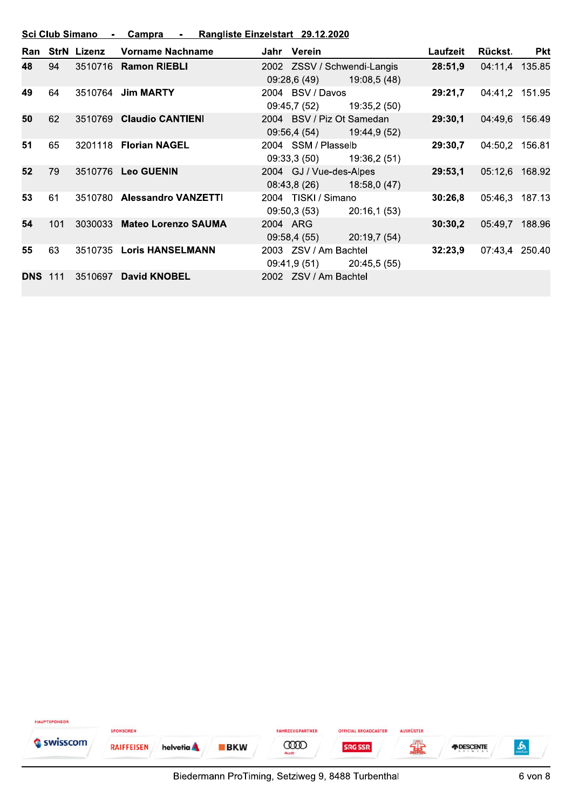| <b>Sci Club Simano</b> | Campra | Rangliste Einzelstart 29.12.2020 |  |
|------------------------|--------|----------------------------------|--|
|                        |        |                                  |  |

| Ran        |     | <b>StrN Lizenz</b> | <b>Vorname Nachname</b>     |          | Jahr Verein                                            |              | Laufzeit | Rückst.        | <b>Pkt</b> |
|------------|-----|--------------------|-----------------------------|----------|--------------------------------------------------------|--------------|----------|----------------|------------|
| 48         | 94  | 3510716            | <b>Ramon RIEBLI</b>         |          | 2002 ZSSV / Schwendi-Langis<br>09:28,6 (49)            | 19:08,5 (48) | 28:51.9  | 04:11,4 135.85 |            |
| 49         | 64  | 3510764            | <b>Jim MARTY</b>            |          | 2004 BSV / Davos<br>09:45,7 (52)                       | 19:35,2 (50) | 29:21.7  | 04:41,2 151.95 |            |
| 50         | 62  | 3510769            | <b>Claudio CANTIENI</b>     |          | 2004 BSV / Piz Ot Samedan<br>09:56,4 (54) 19:44,9 (52) |              | 29:30,1  | 04:49,6 156.49 |            |
| 51         | 65  |                    | 3201118 Florian NAGEL       |          | 2004 SSM / Plasselb<br>09:33,3 (50)                    | 19:36,2 (51) | 29:30,7  | 04:50,2 156.81 |            |
| 52         | 79  |                    | 3510776 Leo GUENIN          |          | 2004 GJ / Vue-des-Alpes<br>08:43,8(26)                 | 18:58,0 (47) | 29:53,1  | 05:12,6 168.92 |            |
| 53         | 61  |                    | 3510780 Alessandro VANZETTI |          | 2004 TISKI / Simano<br>09:50,3 (53)                    | 20:16,1(53)  | 30:26,8  | 05:46,3 187.13 |            |
| 54         | 101 | 3030033            | <b>Mateo Lorenzo SAUMA</b>  | 2004 ARG | 09:58,4 (55)                                           | 20:19,7 (54) | 30:30,2  | 05:49,7        | 188.96     |
| 55         | 63  | 3510735            | <b>Loris HANSELMANN</b>     |          | 2003 ZSV / Am Bachtel<br>09:41,9 (51)                  | 20:45,5 (55) | 32:23.9  | 07:43,4 250.40 |            |
| <b>DNS</b> | 111 | 3510697            | <b>David KNOBEL</b>         |          | 2002 ZSV / Am Bachtel                                  |              |          |                |            |

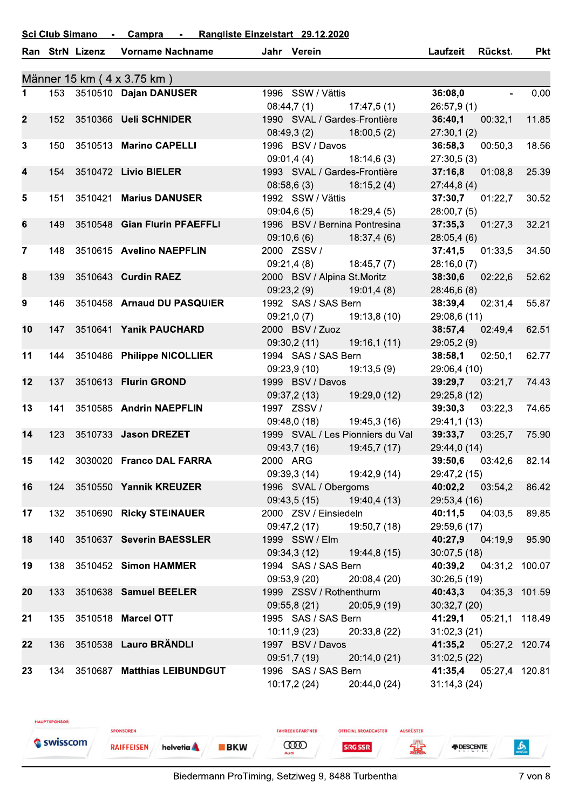#### **Sci Club Simano** Rangliste Einzelstart 29.12.2020 Campra  $\sim$ L.

|                         |     | Ran StrN Lizenz | <b>Vorname Nachname</b>         | Jahr Verein                             |                                  | Laufzeit                             | <b>Rückst.</b>         | <b>Pkt</b> |
|-------------------------|-----|-----------------|---------------------------------|-----------------------------------------|----------------------------------|--------------------------------------|------------------------|------------|
|                         |     |                 | Männer 15 km (4 x 3.75 km)      |                                         |                                  |                                      |                        |            |
| $\mathbf 1$             |     |                 | 153 3510510 Dajan DANUSER       | 1996 SSW / Vättis                       |                                  | 36:08,0                              | $\Delta \sim 10^{-11}$ | 0.00       |
|                         |     |                 |                                 | $08:44,7(1)$ 17:47,5(1)                 |                                  | 26:57,9(1)                           |                        |            |
| $\overline{2}$          | 152 |                 | 3510366 Ueli SCHNIDER           | 1990 SVAL / Gardes-Frontière            |                                  | 36:40,1                              | 00:32,1                | 11.85      |
|                         |     |                 |                                 | $08:49,3(2)$ 18:00,5(2)                 |                                  | 27:30,1(2)                           |                        |            |
| $\mathbf{3}$            | 150 |                 | 3510513 Marino CAPELLI          | 1996 BSV / Davos                        |                                  | 36:58,3 00:50,3                      |                        | 18.56      |
|                         |     |                 |                                 | 09:01,4(4)                              | 18:14,6 (3)                      | 27:30,5(3)                           |                        |            |
| $\overline{\mathbf{4}}$ |     |                 | 154 3510472 Livio BIELER        | 1993 SVAL / Gardes-Frontière            |                                  | 37:16,8                              | 01:08,8                | 25.39      |
|                         |     |                 |                                 | $08:58,6(3)$ 18:15,2(4)                 |                                  | 27:44,8(4)                           |                        |            |
| $5\phantom{.0}$         | 151 |                 | 3510421 Marius DANUSER          | 1992 SSW / Vättis                       |                                  | 37:30,7 01:22,7                      |                        | 30.52      |
|                         |     |                 |                                 |                                         | $09:04,6(5)$ 18:29,4(5)          | 28:00,7(5)                           |                        |            |
| 6                       | 149 |                 | 3510548 Gian Flurin PFAEFFLI    |                                         | 1996 BSV / Bernina Pontresina    | $37:35,3$ 01:27,3                    |                        | 32.21      |
|                         |     |                 |                                 | $09:10,6(6)$ 18:37,4(6)                 |                                  | 28:05,4(6)                           |                        |            |
| $\overline{7}$          |     |                 | 148 3510615 Avelino NAEPFLIN    | 2000 ZSSV /                             |                                  | 37:41,5                              | 01:33,5                | 34.50      |
| 8                       | 139 |                 | 3510643 Curdin RAEZ             | 09:21,4 (8)                             | 18:45,7 (7)                      | 28:16,0(7)                           |                        | 52.62      |
|                         |     |                 |                                 | 2000 BSV / Alpina St.Moritz             | $09:23,2(9)$ 19:01,4(8)          | <b>38:30,6</b> 02:22,6<br>28:46,6(8) |                        |            |
| 9                       | 146 |                 | 3510458 Arnaud DU PASQUIER      | 1992 SAS / SAS Bern                     |                                  | <b>38:39,4</b> 02:31,4               |                        | 55.87      |
|                         |     |                 |                                 |                                         | $09:21,0(7)$ 19:13,8 (10)        | 29:08,6 (11)                         |                        |            |
| 10                      | 147 |                 | 3510641 Yanik PAUCHARD          | 2000 BSV / Zuoz                         |                                  | <b>38:57,4</b> 02:49,4               |                        | 62.51      |
|                         |     |                 |                                 | 09:30,2 (11)                            | 19:16,1 (11)                     | 29:05,2(9)                           |                        |            |
| 11                      | 144 |                 | 3510486 Philippe NICOLLIER      | 1994 SAS / SAS Bern                     |                                  | 38:58,1                              | 02:50,1                | 62.77      |
|                         |     |                 |                                 |                                         | $09:23,9(10)$ $19:13,5(9)$       | 29:06,4 (10)                         |                        |            |
| 12                      | 137 |                 | 3510613 Flurin GROND            | 1999 BSV / Davos                        |                                  |                                      | <b>39:29,7</b> 03:21,7 | 74.43      |
|                         |     |                 |                                 |                                         | $09:37,2(13)$ 19:29,0(12)        | 29:25,8 (12)                         |                        |            |
| 13                      | 141 |                 | 3510585 Andrin NAEPFLIN         | 1997 ZSSV /                             |                                  | 39:30,3                              | 03:22,3                | 74.65      |
|                         |     |                 |                                 | 09:48,0 (18)                            | 19:45,3 (16)                     | 29:41,1 (13)                         |                        |            |
| 14                      | 123 |                 | 3510733 Jason DREZET            |                                         | 1999 SVAL / Les Pionniers du Val | 39:33,7 03:25,7                      |                        | 75.90      |
|                         |     |                 |                                 | 09:43,7(16)                             | 19:45,7 (17)                     | 29:44,0 (14)                         |                        |            |
| 15                      | 142 |                 | 3030020 Franco DAL FARRA        | 2000 ARG                                |                                  |                                      | <b>39:50,6</b> 03:42,6 | 82.14      |
|                         |     |                 |                                 |                                         | 09:39,3 (14) 19:42,9 (14)        | 29:47,2 (15)                         |                        |            |
| 16                      |     |                 | 124 3510550 Yannik KREUZER      | 1996 SVAL / Obergoms                    |                                  |                                      | <b>40:02,2</b> 03:54,2 | 86.42      |
|                         |     |                 |                                 | 09:43,5(15)                             | 19:40,4 (13)                     | 29:53,4 (16)                         |                        |            |
| $17\,$                  |     |                 | 132 3510690 Ricky STEINAUER     | 2000 ZSV / Einsiedeln                   |                                  | <b>40:11,5</b> 04:03,5               |                        | 89.85      |
|                         |     |                 |                                 |                                         | $09:47,2(17)$ 19:50,7(18)        | 29:59,6 (17)                         |                        |            |
| 18                      | 140 |                 | 3510637 Severin BAESSLER        | 1999 SSW / Elm                          |                                  | 40:27,9 04:19,9                      |                        | 95.90      |
|                         |     |                 |                                 | 09:34,3 (12)                            | 19:44,8 (15)                     | 30:07,5(18)                          |                        |            |
| 19                      |     |                 | 138 3510452 Simon HAMMER        | 1994 SAS / SAS Bern                     |                                  |                                      | 40:39,2 04:31,2 100.07 |            |
|                         |     |                 | 3510638 Samuel BEELER           | 09:53,9 (20)<br>1999 ZSSV / Rothenthurm | 20:08,4 (20)                     | 30:26,5(19)                          |                        |            |
| 20                      | 133 |                 |                                 | 09:55,8 (21)                            | 20:05,9(19)                      | 40:43,3<br>30:32,7(20)               | 04:35,3 101.59         |            |
| 21                      |     |                 | 135 3510518 Marcel OTT          | 1995 SAS / SAS Bern                     |                                  |                                      | 41:29,1 05:21,1 118.49 |            |
|                         |     |                 |                                 | 10:11,9 (23)                            | 20:33,8 (22)                     | 31:02,3(21)                          |                        |            |
| 22                      | 136 |                 | 3510538 Lauro BRÄNDLI           | 1997 BSV / Davos                        |                                  | 41:35,2                              | 05:27,2 120.74         |            |
|                         |     |                 |                                 | 09:51,7 (19)                            | 20:14,0(21)                      | 31:02,5 (22)                         |                        |            |
| 23                      |     |                 | 134 3510687 Matthias LEIBUNDGUT | 1996 SAS / SAS Bern                     |                                  | 41:35,4 05:27,4 120.81               |                        |            |
|                         |     |                 |                                 | 10:17,2(24)                             | 20:44,0 (24)                     | 31:14,3(24)                          |                        |            |

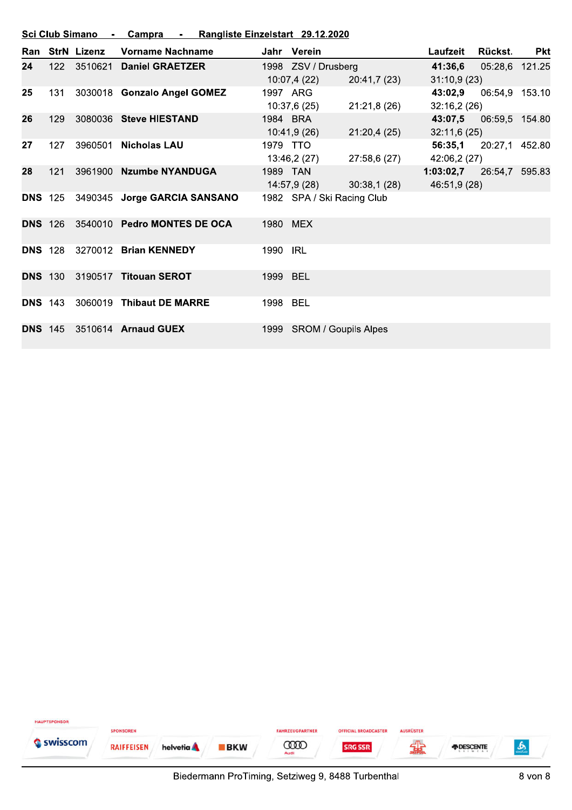|                | Sci Club Simano -<br>Campra - Rangliste Einzelstart 29.12.2020 |                    |                              |          |                            |              |                          |                |            |  |  |
|----------------|----------------------------------------------------------------|--------------------|------------------------------|----------|----------------------------|--------------|--------------------------|----------------|------------|--|--|
| Ran            |                                                                | <b>StrN Lizenz</b> | Vorname Nachname             |          | Jahr Verein                |              | Laufzeit                 | Rückst.        | <b>Pkt</b> |  |  |
| 24             | 122                                                            | 3510621            | <b>Daniel GRAETZER</b>       |          | 1998 ZSV / Drusberg        |              | 41:36,6                  | 05:28,6 121.25 |            |  |  |
|                |                                                                |                    |                              |          | 10:07,4(22)                | 20:41,7 (23) | 31:10,9(23)              |                |            |  |  |
| 25             | 131                                                            |                    | 3030018 Gonzalo Angel GOMEZ  |          | 1997 ARG                   |              | 43:02,9                  | 06:54,9 153.10 |            |  |  |
|                |                                                                |                    |                              |          | 10:37,6(25)                | 21:21,8(26)  | 32:16,2(26)              |                |            |  |  |
| 26             | 129                                                            |                    | 3080036 Steve HIESTAND       |          | 1984 BRA                   |              | 43:07,5                  | 06:59,5 154.80 |            |  |  |
|                |                                                                |                    |                              |          | 10:41,9 (26)               | 21:20,4(25)  | 32:11,6(25)              |                |            |  |  |
| 27             | 127                                                            | 3960501            | <b>Nicholas LAU</b>          |          | 1979 TTO                   |              | 56:35,1                  | 20:27,1 452.80 |            |  |  |
|                |                                                                |                    |                              |          | 13:46,2 (27)               | 27:58,6 (27) | 42:06,2 (27)             |                |            |  |  |
| 28             | 121                                                            |                    | 3961900 Nzumbe NYANDUGA      |          | 1989 TAN                   |              | 1:03:02,7 26:54,7 595.83 |                |            |  |  |
|                |                                                                |                    |                              |          | 14:57,9 (28)               | 30:38,1(28)  | 46:51,9 (28)             |                |            |  |  |
| <b>DNS 125</b> |                                                                |                    | 3490345 Jorge GARCIA SANSANO |          | 1982 SPA / Ski Racing Club |              |                          |                |            |  |  |
| <b>DNS 126</b> |                                                                |                    | 3540010 Pedro MONTES DE OCA  |          | 1980 MEX                   |              |                          |                |            |  |  |
| <b>DNS 128</b> |                                                                |                    | 3270012 Brian KENNEDY        | 1990     | <b>IRL</b>                 |              |                          |                |            |  |  |
| <b>DNS 130</b> |                                                                | 3190517            | <b>Titouan SEROT</b>         | 1999 BEL |                            |              |                          |                |            |  |  |
| <b>DNS 143</b> |                                                                | 3060019            | <b>Thibaut DE MARRE</b>      | 1998 BEL |                            |              |                          |                |            |  |  |
| <b>DNS 145</b> |                                                                |                    | 3510614 Arnaud GUEX          |          | 1999 SROM / Goupils Alpes  |              |                          |                |            |  |  |

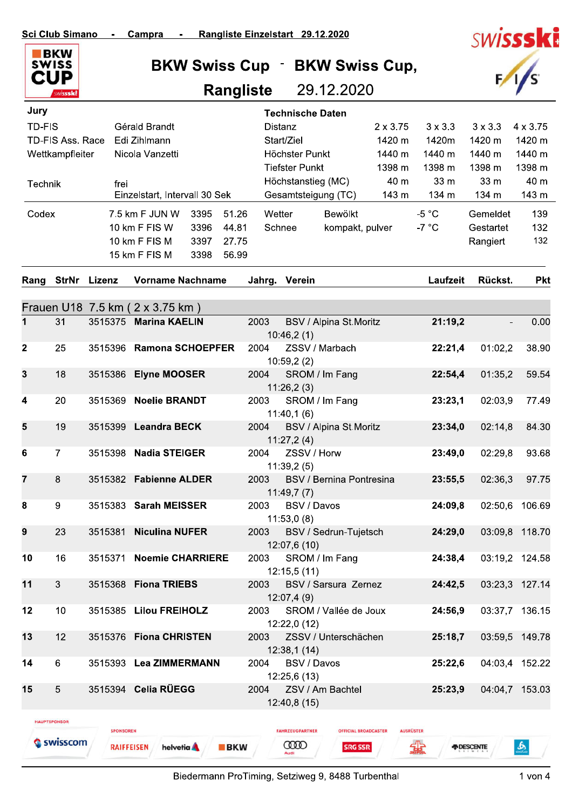

**BKW Swiss Cup · BKW Swiss Cup,** 

### **Rangliste** 29.12.2020



| Jury             |                                 |                  |                                                          |      |            |        |                                       | <b>Technische Daten</b>         |                                                 |                |                          |                 |
|------------------|---------------------------------|------------------|----------------------------------------------------------|------|------------|--------|---------------------------------------|---------------------------------|-------------------------------------------------|----------------|--------------------------|-----------------|
| <b>TD-FIS</b>    |                                 |                  | Gérald Brandt                                            |      |            |        | <b>Distanz</b>                        |                                 | $2 \times 3.75$                                 | $3 \times 3.3$ | $3 \times 3.3$           | $4 \times 3.75$ |
|                  | <b>TD-FIS Ass. Race</b>         |                  | Edi Zihlmann                                             |      |            |        | Start/Ziel                            |                                 | 1420 m                                          | 1420m          | 1420 m                   | 1420 m          |
|                  | Wettkampfleiter                 |                  | Nicola Vanzetti                                          |      |            |        | Höchster Punkt                        |                                 | 1440 m                                          | 1440 m         | 1440 m                   | 1440 m          |
|                  |                                 |                  |                                                          |      |            |        | <b>Tiefster Punkt</b>                 |                                 | 1398 m                                          | 1398 m         | 1398 m                   | 1398 m          |
| Technik          |                                 | frei             |                                                          |      |            |        |                                       | Höchstanstieg (MC)              | 40 m                                            | 33 m           | 33 m                     | 40 m            |
|                  |                                 |                  | Einzelstart, Intervall 30 Sek                            |      |            |        | Gesamtsteigung (TC)                   |                                 | 143 m                                           | 134 m          | 134 m                    | 143 m           |
| Codex            |                                 |                  | 7.5 km F JUN W                                           | 3395 | 51.26      |        | Wetter                                | Bewölkt                         |                                                 | $-5 °C$        | Gemeldet                 | 139             |
|                  |                                 |                  | 10 km F FIS W                                            | 3396 | 44.81      |        | Schnee                                | kompakt, pulver                 |                                                 | $-7 °C$        | Gestartet                | 132             |
|                  |                                 |                  | 10 km F FIS M                                            | 3397 | 27.75      |        |                                       |                                 |                                                 |                | Rangiert                 | 132             |
|                  |                                 |                  | 15 km F FIS M                                            | 3398 | 56.99      |        |                                       |                                 |                                                 |                |                          |                 |
| Rang             |                                 | StrNr Lizenz     | <b>Vorname Nachname</b>                                  |      |            | Jahrg. | Verein                                |                                 |                                                 | Laufzeit       | Rückst.                  | <b>Pkt</b>      |
|                  |                                 |                  |                                                          |      |            |        |                                       |                                 |                                                 |                |                          |                 |
| 1                | 31                              | 3515375          | Frauen U18 7.5 km ( 2 x 3.75 km)<br><b>Marina KAELIN</b> |      |            | 2003   |                                       |                                 |                                                 |                |                          |                 |
|                  |                                 |                  |                                                          |      |            |        | 10:46,2(1)                            | BSV / Alpina St.Moritz          |                                                 | 21:19,2        |                          | 0.00            |
| $\mathbf{2}$     | 25                              | 3515396          | <b>Ramona SCHOEPFER</b>                                  |      |            | 2004   |                                       | ZSSV / Marbach                  |                                                 | 22:21,4        | 01:02,2                  | 38.90           |
|                  |                                 |                  |                                                          |      |            |        | 10:59,2(2)                            |                                 |                                                 |                |                          |                 |
| 3                | 18                              | 3515386          | <b>Elyne MOOSER</b>                                      |      |            | 2004   |                                       | SROM / Im Fang                  |                                                 | 22:54,4        | 01:35,2                  | 59.54           |
|                  |                                 |                  |                                                          |      |            |        | 11:26,2(3)                            |                                 |                                                 |                |                          |                 |
| $\boldsymbol{4}$ | 20                              | 3515369          | <b>Noelie BRANDT</b>                                     |      |            | 2003   | 11:40,1(6)                            | SROM / Im Fang                  |                                                 | 23:23,1        | 02:03,9                  | 77.49           |
| 5                | 19                              |                  | 3515399 Leandra BECK                                     |      |            | 2004   | 11:27,2(4)                            | BSV / Alpina St.Moritz          |                                                 | 23:34,0        | 02:14,8                  | 84.30           |
| $\bf 6$          | $\overline{7}$                  |                  | 3515398 Nadia STEIGER                                    |      |            | 2004   | 11:39,2(5)                            | ZSSV / Horw                     |                                                 | 23:49,0        | 02:29,8                  | 93.68           |
| 7                | $\,8\,$                         | 3515382          | <b>Fabienne ALDER</b>                                    |      |            | 2003   | 11:49,7(7)                            | <b>BSV / Bernina Pontresina</b> |                                                 | 23:55,5        | 02:36,3                  | 97.75           |
| 8                | $\boldsymbol{9}$                |                  | 3515383 Sarah MEISSER                                    |      |            | 2003   |                                       | BSV / Davos                     |                                                 | 24:09,8        |                          | 02:50,6 106.69  |
| 9                | 23                              | 3515381          | <b>Niculina NUFER</b>                                    |      |            | 2003   | 11:53,0(8)                            | BSV / Sedrun-Tujetsch           |                                                 | 24:29,0        |                          | 03:09,8 118.70  |
|                  |                                 |                  |                                                          |      |            |        | 12:07,6 (10)                          |                                 |                                                 |                |                          |                 |
| 10               | 16                              | 3515371          | <b>Noemie CHARRIERE</b>                                  |      |            | 2003   | 12:15,5(11)                           | SROM / Im Fang                  |                                                 | 24:38,4        |                          | 03:19,2 124.58  |
| 11               | 3                               |                  | 3515368 Fiona TRIEBS                                     |      |            | 2003   | 12:07,4(9)                            | BSV / Sarsura Zernez            |                                                 | 24:42,5        |                          | 03:23,3 127.14  |
| 12               | 10                              |                  | 3515385 Lilou FREIHOLZ                                   |      |            | 2003   | 12:22,0 (12)                          | SROM / Vallée de Joux           |                                                 | 24:56,9        |                          | 03:37,7 136.15  |
| 13               | 12                              | 3515376          | <b>Fiona CHRISTEN</b>                                    |      |            | 2003   | 12:38,1(14)                           | ZSSV / Unterschächen            |                                                 | 25:18,7        |                          | 03:59,5 149.78  |
| 14               | 6                               |                  | 3515393 Lea ZIMMERMANN                                   |      |            | 2004   |                                       | BSV / Davos                     |                                                 | 25:22,6        |                          | 04:03,4 152.22  |
| 15               | $\overline{5}$                  |                  | 3515394 Celia RÜEGG                                      |      |            | 2004   | 12:25,6 (13)<br>12:40,8 (15)          | ZSV / Am Bachtel                |                                                 | 25:23,9        |                          | 04:04,7 153.03  |
|                  | <b>HAUPTSPONSOR</b><br>swisscom | <b>SPONSOREN</b> | <b>RAIFFEISEN</b><br>helvetia A                          |      | <b>BKW</b> |        | <b>FAHRZEUGPARTNER</b><br><b>0000</b> | <b>SRG SSR</b>                  | <b>AUSRÜSTER</b><br><b>OFFICIAL BROADCASTER</b> |                | <b><i>FIDESCENTE</i></b> | త్హి            |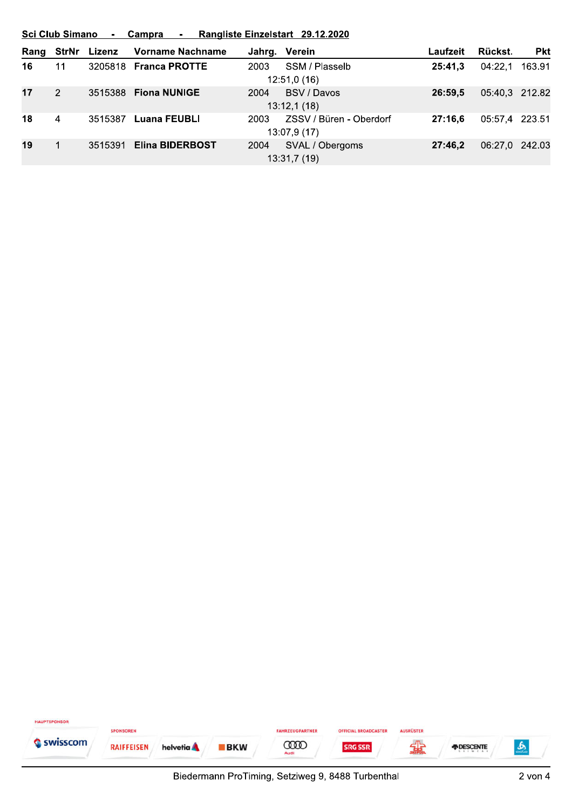|      | Sci Club Simano - Campra - Rangliste Einzelstart 29.12.2020 |              |                        |      |                         |          |                |            |  |  |
|------|-------------------------------------------------------------|--------------|------------------------|------|-------------------------|----------|----------------|------------|--|--|
| Rang |                                                             | StrNr Lizenz | Vorname Nachname       |      | Jahrg. Verein           | Laufzeit | Rückst.        | <b>Pkt</b> |  |  |
| 16   | 11                                                          |              | 3205818 Franca PROTTE  | 2003 | SSM / Plasselb          | 25:41.3  | 04:22.1        | 163.91     |  |  |
|      |                                                             |              |                        |      | 12:51,0(16)             |          |                |            |  |  |
| 17   | 2                                                           |              | 3515388 Fiona NUNIGE   | 2004 | BSV / Davos             | 26:59.5  | 05:40,3 212.82 |            |  |  |
|      |                                                             |              |                        |      | 13:12,1(18)             |          |                |            |  |  |
| 18   | 4                                                           | 3515387      | Luana FEUBLI           | 2003 | ZSSV / Büren - Oberdorf | 27:16.6  | 05:57,4 223.51 |            |  |  |
|      |                                                             |              |                        |      | 13:07,9 (17)            |          |                |            |  |  |
| 19   |                                                             | 3515391      | <b>Elina BIDERBOST</b> | 2004 | SVAL / Obergoms         | 27:46.2  | 06:27.0 242.03 |            |  |  |
|      |                                                             |              |                        |      | 13:31,7(19)             |          |                |            |  |  |

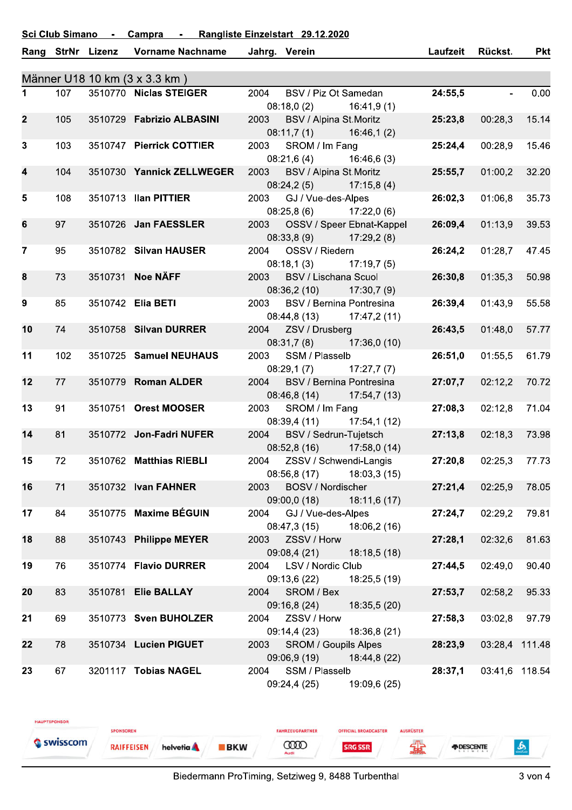#### **Sci Club Simano** Rangliste Einzelstart 29.12.2020 Campra  $\sim$   $\sim$ L.

| Männer U18 10 km (3 x 3.3 km)<br>107<br>3510770 Niclas STEIGER<br>24:55,5<br>0.00<br>$\mathbf 1$<br>2004<br>BSV / Piz Ot Samedan<br>$\sim$<br>$08:18,0(2)$ 16:41,9(1)<br>BSV / Alpina St.Moritz<br>15.14<br>105<br>3510729 Fabrizio ALBASINI<br>2003<br>25:23,8<br>00:28,3<br>$\mathbf{2}$<br>$08:11,7(1)$ 16:46,1(2)<br>$\mathbf{3}$<br>103<br>2003<br>SROM / Im Fang<br>25:24,4<br>00:28,9<br>15.46<br>3510747 Pierrick COTTIER<br>08:21,6(4)<br>16:46,6 (3)<br>104<br>3510730 Yannick ZELLWEGER<br>2003<br>BSV / Alpina St.Moritz<br>32.20<br>4<br>25:55,7<br>01:00,2<br>$08:24,2(5)$ 17:15,8(4)<br>2003 GJ / Vue-des-Alpes<br>$\sqrt{5}$<br>108<br>26:02,3<br>35.73<br>3510713 Ilan PITTIER<br>01:06,8<br>$08:25,8(6)$ 17:22,0(6)<br>6<br>97<br>3510726 Jan FAESSLER<br>OSSV / Speer Ebnat-Kappel<br>26:09,4<br>01:13,9<br>39.53<br>2003<br>08:33,8 (9) 17:29,2 (8)<br>$\overline{7}$<br>95<br>3510782 Silvan HAUSER<br>2004<br>OSSV / Riedern<br>26:24,2<br>01:28,7<br>47.45<br>08:18,1(3)<br>17:19,7(5)<br>3510731 Noe NÄFF<br>73<br><b>BSV / Lischana Scuol</b><br>26:30,8<br>50.98<br>8<br>2003<br>01:35.3<br>$08:36,2(10)$ 17:30,7(9)<br>$\boldsymbol{9}$<br>85<br>BSV / Bernina Pontresina<br>55.58<br>3510742 Elia BETI<br>2003<br>26:39,4<br>01:43,9<br>08:44,8 (13) 17:47,2 (11)<br>10<br>74<br>3510758 Silvan DURRER<br>ZSV / Drusberg<br>57.77<br>2004<br>26:43,5<br>01:48,0<br>08:31,7(8)<br>17:36,0 (10)<br>102<br>2003<br>SSM / Plasselb<br>26:51,0<br>01:55,5<br>61.79<br>11<br>3510725 Samuel NEUHAUS<br>08:29,1(7)<br>17:27,7(7)<br>12<br>BSV / Bernina Pontresina<br>70.72<br>77<br>3510779 Roman ALDER<br>2004<br>27:07,7<br>02:12,2<br>08:46,8 (14) 17:54,7 (13)<br>13<br>3510751 Orest MOOSER<br>SROM / Im Fang<br>02:12,8<br>71.04<br>91<br>2003<br>27:08,3<br>08:39,4 (11) 17:54,1 (12)<br>14<br>81<br>2004<br>BSV / Sedrun-Tujetsch<br>27:13,8<br>73.98<br>3510772 Jon-Fadri NUFER<br>02:18,3<br>08:52,8(16)<br>17:58,0 (14)<br>27:20,8<br>72<br>3510762 Matthias RIEBLI<br>2004<br>ZSSV / Schwendi-Langis<br>02:25,3<br>77.73<br>15<br>08:56,8(17)<br>18:03,3 (15)<br>16<br>71<br>27:21,4<br>3510732 Ivan FAHNER<br>2003<br><b>BOSV / Nordischer</b><br>02:25,9<br>78.05<br>09:00,0 (18)<br>18:11,6 (17)<br>3510775 Maxime BÉGUIN<br>84<br>GJ / Vue-des-Alpes<br>02:29,2<br>79.81<br>17<br>2004<br>27:24,7<br>08:47,3(15)<br>18:06,2(16)<br>18<br>88<br>3510743 Philippe MEYER<br>ZSSV / Horw<br>27:28,1<br>02:32,6<br>81.63<br>2003<br>09:08,4 (21)<br>18:18,5(18)<br>3510774 Flavio DURRER<br>90.40<br>19<br>LSV / Nordic Club<br>02:49,0<br>76<br>2004<br>27:44,5<br>09:13,6 (22)<br>18:25,5 (19)<br>SROM / Bex<br>20<br>83<br>3510781 Elie BALLAY<br>27:53,7<br>95.33<br>2004<br>02:58,2<br>09:16,8 (24)<br>18:35,5 (20)<br>ZSSV / Horw<br>97.79<br>21<br>69<br>3510773 Sven BUHOLZER<br>2004<br>27:58,3<br>03:02,8<br>09:14,4 (23)<br>18:36,8 (21)<br>3510734 Lucien PIGUET<br><b>SROM / Goupils Alpes</b><br>22<br>78<br>2003<br>28:23,9<br>03:28,4 111.48<br>09:06,9 (19)<br>18:44,8 (22)<br>3201117 Tobias NAGEL<br>03:41,6 118.54<br>23<br>67<br>2004<br>SSM / Plasselb<br>28:37,1<br>09:24,4 (25)<br>19:09,6 (25) |  |  | Rang StrNr Lizenz | <b>Vorname Nachname</b> |  | Jahrg. Verein |  | Laufzeit | Rückst. | <b>Pkt</b> |  |  |
|----------------------------------------------------------------------------------------------------------------------------------------------------------------------------------------------------------------------------------------------------------------------------------------------------------------------------------------------------------------------------------------------------------------------------------------------------------------------------------------------------------------------------------------------------------------------------------------------------------------------------------------------------------------------------------------------------------------------------------------------------------------------------------------------------------------------------------------------------------------------------------------------------------------------------------------------------------------------------------------------------------------------------------------------------------------------------------------------------------------------------------------------------------------------------------------------------------------------------------------------------------------------------------------------------------------------------------------------------------------------------------------------------------------------------------------------------------------------------------------------------------------------------------------------------------------------------------------------------------------------------------------------------------------------------------------------------------------------------------------------------------------------------------------------------------------------------------------------------------------------------------------------------------------------------------------------------------------------------------------------------------------------------------------------------------------------------------------------------------------------------------------------------------------------------------------------------------------------------------------------------------------------------------------------------------------------------------------------------------------------------------------------------------------------------------------------------------------------------------------------------------------------------------------------------------------------------------------------------------------------------------------------------------------------------------------------------------------------------------------------------------------------------------------------------------------------------------------------------------------------------------------------------------------------------------------------------------------------------------------------------------------------------------------------------------------------------------------------------------------------------------------------------------|--|--|-------------------|-------------------------|--|---------------|--|----------|---------|------------|--|--|
|                                                                                                                                                                                                                                                                                                                                                                                                                                                                                                                                                                                                                                                                                                                                                                                                                                                                                                                                                                                                                                                                                                                                                                                                                                                                                                                                                                                                                                                                                                                                                                                                                                                                                                                                                                                                                                                                                                                                                                                                                                                                                                                                                                                                                                                                                                                                                                                                                                                                                                                                                                                                                                                                                                                                                                                                                                                                                                                                                                                                                                                                                                                                                          |  |  |                   |                         |  |               |  |          |         |            |  |  |
|                                                                                                                                                                                                                                                                                                                                                                                                                                                                                                                                                                                                                                                                                                                                                                                                                                                                                                                                                                                                                                                                                                                                                                                                                                                                                                                                                                                                                                                                                                                                                                                                                                                                                                                                                                                                                                                                                                                                                                                                                                                                                                                                                                                                                                                                                                                                                                                                                                                                                                                                                                                                                                                                                                                                                                                                                                                                                                                                                                                                                                                                                                                                                          |  |  |                   |                         |  |               |  |          |         |            |  |  |
|                                                                                                                                                                                                                                                                                                                                                                                                                                                                                                                                                                                                                                                                                                                                                                                                                                                                                                                                                                                                                                                                                                                                                                                                                                                                                                                                                                                                                                                                                                                                                                                                                                                                                                                                                                                                                                                                                                                                                                                                                                                                                                                                                                                                                                                                                                                                                                                                                                                                                                                                                                                                                                                                                                                                                                                                                                                                                                                                                                                                                                                                                                                                                          |  |  |                   |                         |  |               |  |          |         |            |  |  |
|                                                                                                                                                                                                                                                                                                                                                                                                                                                                                                                                                                                                                                                                                                                                                                                                                                                                                                                                                                                                                                                                                                                                                                                                                                                                                                                                                                                                                                                                                                                                                                                                                                                                                                                                                                                                                                                                                                                                                                                                                                                                                                                                                                                                                                                                                                                                                                                                                                                                                                                                                                                                                                                                                                                                                                                                                                                                                                                                                                                                                                                                                                                                                          |  |  |                   |                         |  |               |  |          |         |            |  |  |
|                                                                                                                                                                                                                                                                                                                                                                                                                                                                                                                                                                                                                                                                                                                                                                                                                                                                                                                                                                                                                                                                                                                                                                                                                                                                                                                                                                                                                                                                                                                                                                                                                                                                                                                                                                                                                                                                                                                                                                                                                                                                                                                                                                                                                                                                                                                                                                                                                                                                                                                                                                                                                                                                                                                                                                                                                                                                                                                                                                                                                                                                                                                                                          |  |  |                   |                         |  |               |  |          |         |            |  |  |
|                                                                                                                                                                                                                                                                                                                                                                                                                                                                                                                                                                                                                                                                                                                                                                                                                                                                                                                                                                                                                                                                                                                                                                                                                                                                                                                                                                                                                                                                                                                                                                                                                                                                                                                                                                                                                                                                                                                                                                                                                                                                                                                                                                                                                                                                                                                                                                                                                                                                                                                                                                                                                                                                                                                                                                                                                                                                                                                                                                                                                                                                                                                                                          |  |  |                   |                         |  |               |  |          |         |            |  |  |
|                                                                                                                                                                                                                                                                                                                                                                                                                                                                                                                                                                                                                                                                                                                                                                                                                                                                                                                                                                                                                                                                                                                                                                                                                                                                                                                                                                                                                                                                                                                                                                                                                                                                                                                                                                                                                                                                                                                                                                                                                                                                                                                                                                                                                                                                                                                                                                                                                                                                                                                                                                                                                                                                                                                                                                                                                                                                                                                                                                                                                                                                                                                                                          |  |  |                   |                         |  |               |  |          |         |            |  |  |
|                                                                                                                                                                                                                                                                                                                                                                                                                                                                                                                                                                                                                                                                                                                                                                                                                                                                                                                                                                                                                                                                                                                                                                                                                                                                                                                                                                                                                                                                                                                                                                                                                                                                                                                                                                                                                                                                                                                                                                                                                                                                                                                                                                                                                                                                                                                                                                                                                                                                                                                                                                                                                                                                                                                                                                                                                                                                                                                                                                                                                                                                                                                                                          |  |  |                   |                         |  |               |  |          |         |            |  |  |
|                                                                                                                                                                                                                                                                                                                                                                                                                                                                                                                                                                                                                                                                                                                                                                                                                                                                                                                                                                                                                                                                                                                                                                                                                                                                                                                                                                                                                                                                                                                                                                                                                                                                                                                                                                                                                                                                                                                                                                                                                                                                                                                                                                                                                                                                                                                                                                                                                                                                                                                                                                                                                                                                                                                                                                                                                                                                                                                                                                                                                                                                                                                                                          |  |  |                   |                         |  |               |  |          |         |            |  |  |
|                                                                                                                                                                                                                                                                                                                                                                                                                                                                                                                                                                                                                                                                                                                                                                                                                                                                                                                                                                                                                                                                                                                                                                                                                                                                                                                                                                                                                                                                                                                                                                                                                                                                                                                                                                                                                                                                                                                                                                                                                                                                                                                                                                                                                                                                                                                                                                                                                                                                                                                                                                                                                                                                                                                                                                                                                                                                                                                                                                                                                                                                                                                                                          |  |  |                   |                         |  |               |  |          |         |            |  |  |
|                                                                                                                                                                                                                                                                                                                                                                                                                                                                                                                                                                                                                                                                                                                                                                                                                                                                                                                                                                                                                                                                                                                                                                                                                                                                                                                                                                                                                                                                                                                                                                                                                                                                                                                                                                                                                                                                                                                                                                                                                                                                                                                                                                                                                                                                                                                                                                                                                                                                                                                                                                                                                                                                                                                                                                                                                                                                                                                                                                                                                                                                                                                                                          |  |  |                   |                         |  |               |  |          |         |            |  |  |
|                                                                                                                                                                                                                                                                                                                                                                                                                                                                                                                                                                                                                                                                                                                                                                                                                                                                                                                                                                                                                                                                                                                                                                                                                                                                                                                                                                                                                                                                                                                                                                                                                                                                                                                                                                                                                                                                                                                                                                                                                                                                                                                                                                                                                                                                                                                                                                                                                                                                                                                                                                                                                                                                                                                                                                                                                                                                                                                                                                                                                                                                                                                                                          |  |  |                   |                         |  |               |  |          |         |            |  |  |
|                                                                                                                                                                                                                                                                                                                                                                                                                                                                                                                                                                                                                                                                                                                                                                                                                                                                                                                                                                                                                                                                                                                                                                                                                                                                                                                                                                                                                                                                                                                                                                                                                                                                                                                                                                                                                                                                                                                                                                                                                                                                                                                                                                                                                                                                                                                                                                                                                                                                                                                                                                                                                                                                                                                                                                                                                                                                                                                                                                                                                                                                                                                                                          |  |  |                   |                         |  |               |  |          |         |            |  |  |
|                                                                                                                                                                                                                                                                                                                                                                                                                                                                                                                                                                                                                                                                                                                                                                                                                                                                                                                                                                                                                                                                                                                                                                                                                                                                                                                                                                                                                                                                                                                                                                                                                                                                                                                                                                                                                                                                                                                                                                                                                                                                                                                                                                                                                                                                                                                                                                                                                                                                                                                                                                                                                                                                                                                                                                                                                                                                                                                                                                                                                                                                                                                                                          |  |  |                   |                         |  |               |  |          |         |            |  |  |
|                                                                                                                                                                                                                                                                                                                                                                                                                                                                                                                                                                                                                                                                                                                                                                                                                                                                                                                                                                                                                                                                                                                                                                                                                                                                                                                                                                                                                                                                                                                                                                                                                                                                                                                                                                                                                                                                                                                                                                                                                                                                                                                                                                                                                                                                                                                                                                                                                                                                                                                                                                                                                                                                                                                                                                                                                                                                                                                                                                                                                                                                                                                                                          |  |  |                   |                         |  |               |  |          |         |            |  |  |
|                                                                                                                                                                                                                                                                                                                                                                                                                                                                                                                                                                                                                                                                                                                                                                                                                                                                                                                                                                                                                                                                                                                                                                                                                                                                                                                                                                                                                                                                                                                                                                                                                                                                                                                                                                                                                                                                                                                                                                                                                                                                                                                                                                                                                                                                                                                                                                                                                                                                                                                                                                                                                                                                                                                                                                                                                                                                                                                                                                                                                                                                                                                                                          |  |  |                   |                         |  |               |  |          |         |            |  |  |
|                                                                                                                                                                                                                                                                                                                                                                                                                                                                                                                                                                                                                                                                                                                                                                                                                                                                                                                                                                                                                                                                                                                                                                                                                                                                                                                                                                                                                                                                                                                                                                                                                                                                                                                                                                                                                                                                                                                                                                                                                                                                                                                                                                                                                                                                                                                                                                                                                                                                                                                                                                                                                                                                                                                                                                                                                                                                                                                                                                                                                                                                                                                                                          |  |  |                   |                         |  |               |  |          |         |            |  |  |
|                                                                                                                                                                                                                                                                                                                                                                                                                                                                                                                                                                                                                                                                                                                                                                                                                                                                                                                                                                                                                                                                                                                                                                                                                                                                                                                                                                                                                                                                                                                                                                                                                                                                                                                                                                                                                                                                                                                                                                                                                                                                                                                                                                                                                                                                                                                                                                                                                                                                                                                                                                                                                                                                                                                                                                                                                                                                                                                                                                                                                                                                                                                                                          |  |  |                   |                         |  |               |  |          |         |            |  |  |
|                                                                                                                                                                                                                                                                                                                                                                                                                                                                                                                                                                                                                                                                                                                                                                                                                                                                                                                                                                                                                                                                                                                                                                                                                                                                                                                                                                                                                                                                                                                                                                                                                                                                                                                                                                                                                                                                                                                                                                                                                                                                                                                                                                                                                                                                                                                                                                                                                                                                                                                                                                                                                                                                                                                                                                                                                                                                                                                                                                                                                                                                                                                                                          |  |  |                   |                         |  |               |  |          |         |            |  |  |
|                                                                                                                                                                                                                                                                                                                                                                                                                                                                                                                                                                                                                                                                                                                                                                                                                                                                                                                                                                                                                                                                                                                                                                                                                                                                                                                                                                                                                                                                                                                                                                                                                                                                                                                                                                                                                                                                                                                                                                                                                                                                                                                                                                                                                                                                                                                                                                                                                                                                                                                                                                                                                                                                                                                                                                                                                                                                                                                                                                                                                                                                                                                                                          |  |  |                   |                         |  |               |  |          |         |            |  |  |
|                                                                                                                                                                                                                                                                                                                                                                                                                                                                                                                                                                                                                                                                                                                                                                                                                                                                                                                                                                                                                                                                                                                                                                                                                                                                                                                                                                                                                                                                                                                                                                                                                                                                                                                                                                                                                                                                                                                                                                                                                                                                                                                                                                                                                                                                                                                                                                                                                                                                                                                                                                                                                                                                                                                                                                                                                                                                                                                                                                                                                                                                                                                                                          |  |  |                   |                         |  |               |  |          |         |            |  |  |
|                                                                                                                                                                                                                                                                                                                                                                                                                                                                                                                                                                                                                                                                                                                                                                                                                                                                                                                                                                                                                                                                                                                                                                                                                                                                                                                                                                                                                                                                                                                                                                                                                                                                                                                                                                                                                                                                                                                                                                                                                                                                                                                                                                                                                                                                                                                                                                                                                                                                                                                                                                                                                                                                                                                                                                                                                                                                                                                                                                                                                                                                                                                                                          |  |  |                   |                         |  |               |  |          |         |            |  |  |
|                                                                                                                                                                                                                                                                                                                                                                                                                                                                                                                                                                                                                                                                                                                                                                                                                                                                                                                                                                                                                                                                                                                                                                                                                                                                                                                                                                                                                                                                                                                                                                                                                                                                                                                                                                                                                                                                                                                                                                                                                                                                                                                                                                                                                                                                                                                                                                                                                                                                                                                                                                                                                                                                                                                                                                                                                                                                                                                                                                                                                                                                                                                                                          |  |  |                   |                         |  |               |  |          |         |            |  |  |
|                                                                                                                                                                                                                                                                                                                                                                                                                                                                                                                                                                                                                                                                                                                                                                                                                                                                                                                                                                                                                                                                                                                                                                                                                                                                                                                                                                                                                                                                                                                                                                                                                                                                                                                                                                                                                                                                                                                                                                                                                                                                                                                                                                                                                                                                                                                                                                                                                                                                                                                                                                                                                                                                                                                                                                                                                                                                                                                                                                                                                                                                                                                                                          |  |  |                   |                         |  |               |  |          |         |            |  |  |
|                                                                                                                                                                                                                                                                                                                                                                                                                                                                                                                                                                                                                                                                                                                                                                                                                                                                                                                                                                                                                                                                                                                                                                                                                                                                                                                                                                                                                                                                                                                                                                                                                                                                                                                                                                                                                                                                                                                                                                                                                                                                                                                                                                                                                                                                                                                                                                                                                                                                                                                                                                                                                                                                                                                                                                                                                                                                                                                                                                                                                                                                                                                                                          |  |  |                   |                         |  |               |  |          |         |            |  |  |
|                                                                                                                                                                                                                                                                                                                                                                                                                                                                                                                                                                                                                                                                                                                                                                                                                                                                                                                                                                                                                                                                                                                                                                                                                                                                                                                                                                                                                                                                                                                                                                                                                                                                                                                                                                                                                                                                                                                                                                                                                                                                                                                                                                                                                                                                                                                                                                                                                                                                                                                                                                                                                                                                                                                                                                                                                                                                                                                                                                                                                                                                                                                                                          |  |  |                   |                         |  |               |  |          |         |            |  |  |
|                                                                                                                                                                                                                                                                                                                                                                                                                                                                                                                                                                                                                                                                                                                                                                                                                                                                                                                                                                                                                                                                                                                                                                                                                                                                                                                                                                                                                                                                                                                                                                                                                                                                                                                                                                                                                                                                                                                                                                                                                                                                                                                                                                                                                                                                                                                                                                                                                                                                                                                                                                                                                                                                                                                                                                                                                                                                                                                                                                                                                                                                                                                                                          |  |  |                   |                         |  |               |  |          |         |            |  |  |
|                                                                                                                                                                                                                                                                                                                                                                                                                                                                                                                                                                                                                                                                                                                                                                                                                                                                                                                                                                                                                                                                                                                                                                                                                                                                                                                                                                                                                                                                                                                                                                                                                                                                                                                                                                                                                                                                                                                                                                                                                                                                                                                                                                                                                                                                                                                                                                                                                                                                                                                                                                                                                                                                                                                                                                                                                                                                                                                                                                                                                                                                                                                                                          |  |  |                   |                         |  |               |  |          |         |            |  |  |
|                                                                                                                                                                                                                                                                                                                                                                                                                                                                                                                                                                                                                                                                                                                                                                                                                                                                                                                                                                                                                                                                                                                                                                                                                                                                                                                                                                                                                                                                                                                                                                                                                                                                                                                                                                                                                                                                                                                                                                                                                                                                                                                                                                                                                                                                                                                                                                                                                                                                                                                                                                                                                                                                                                                                                                                                                                                                                                                                                                                                                                                                                                                                                          |  |  |                   |                         |  |               |  |          |         |            |  |  |
|                                                                                                                                                                                                                                                                                                                                                                                                                                                                                                                                                                                                                                                                                                                                                                                                                                                                                                                                                                                                                                                                                                                                                                                                                                                                                                                                                                                                                                                                                                                                                                                                                                                                                                                                                                                                                                                                                                                                                                                                                                                                                                                                                                                                                                                                                                                                                                                                                                                                                                                                                                                                                                                                                                                                                                                                                                                                                                                                                                                                                                                                                                                                                          |  |  |                   |                         |  |               |  |          |         |            |  |  |
|                                                                                                                                                                                                                                                                                                                                                                                                                                                                                                                                                                                                                                                                                                                                                                                                                                                                                                                                                                                                                                                                                                                                                                                                                                                                                                                                                                                                                                                                                                                                                                                                                                                                                                                                                                                                                                                                                                                                                                                                                                                                                                                                                                                                                                                                                                                                                                                                                                                                                                                                                                                                                                                                                                                                                                                                                                                                                                                                                                                                                                                                                                                                                          |  |  |                   |                         |  |               |  |          |         |            |  |  |
|                                                                                                                                                                                                                                                                                                                                                                                                                                                                                                                                                                                                                                                                                                                                                                                                                                                                                                                                                                                                                                                                                                                                                                                                                                                                                                                                                                                                                                                                                                                                                                                                                                                                                                                                                                                                                                                                                                                                                                                                                                                                                                                                                                                                                                                                                                                                                                                                                                                                                                                                                                                                                                                                                                                                                                                                                                                                                                                                                                                                                                                                                                                                                          |  |  |                   |                         |  |               |  |          |         |            |  |  |
|                                                                                                                                                                                                                                                                                                                                                                                                                                                                                                                                                                                                                                                                                                                                                                                                                                                                                                                                                                                                                                                                                                                                                                                                                                                                                                                                                                                                                                                                                                                                                                                                                                                                                                                                                                                                                                                                                                                                                                                                                                                                                                                                                                                                                                                                                                                                                                                                                                                                                                                                                                                                                                                                                                                                                                                                                                                                                                                                                                                                                                                                                                                                                          |  |  |                   |                         |  |               |  |          |         |            |  |  |
|                                                                                                                                                                                                                                                                                                                                                                                                                                                                                                                                                                                                                                                                                                                                                                                                                                                                                                                                                                                                                                                                                                                                                                                                                                                                                                                                                                                                                                                                                                                                                                                                                                                                                                                                                                                                                                                                                                                                                                                                                                                                                                                                                                                                                                                                                                                                                                                                                                                                                                                                                                                                                                                                                                                                                                                                                                                                                                                                                                                                                                                                                                                                                          |  |  |                   |                         |  |               |  |          |         |            |  |  |
|                                                                                                                                                                                                                                                                                                                                                                                                                                                                                                                                                                                                                                                                                                                                                                                                                                                                                                                                                                                                                                                                                                                                                                                                                                                                                                                                                                                                                                                                                                                                                                                                                                                                                                                                                                                                                                                                                                                                                                                                                                                                                                                                                                                                                                                                                                                                                                                                                                                                                                                                                                                                                                                                                                                                                                                                                                                                                                                                                                                                                                                                                                                                                          |  |  |                   |                         |  |               |  |          |         |            |  |  |
|                                                                                                                                                                                                                                                                                                                                                                                                                                                                                                                                                                                                                                                                                                                                                                                                                                                                                                                                                                                                                                                                                                                                                                                                                                                                                                                                                                                                                                                                                                                                                                                                                                                                                                                                                                                                                                                                                                                                                                                                                                                                                                                                                                                                                                                                                                                                                                                                                                                                                                                                                                                                                                                                                                                                                                                                                                                                                                                                                                                                                                                                                                                                                          |  |  |                   |                         |  |               |  |          |         |            |  |  |
|                                                                                                                                                                                                                                                                                                                                                                                                                                                                                                                                                                                                                                                                                                                                                                                                                                                                                                                                                                                                                                                                                                                                                                                                                                                                                                                                                                                                                                                                                                                                                                                                                                                                                                                                                                                                                                                                                                                                                                                                                                                                                                                                                                                                                                                                                                                                                                                                                                                                                                                                                                                                                                                                                                                                                                                                                                                                                                                                                                                                                                                                                                                                                          |  |  |                   |                         |  |               |  |          |         |            |  |  |
|                                                                                                                                                                                                                                                                                                                                                                                                                                                                                                                                                                                                                                                                                                                                                                                                                                                                                                                                                                                                                                                                                                                                                                                                                                                                                                                                                                                                                                                                                                                                                                                                                                                                                                                                                                                                                                                                                                                                                                                                                                                                                                                                                                                                                                                                                                                                                                                                                                                                                                                                                                                                                                                                                                                                                                                                                                                                                                                                                                                                                                                                                                                                                          |  |  |                   |                         |  |               |  |          |         |            |  |  |
|                                                                                                                                                                                                                                                                                                                                                                                                                                                                                                                                                                                                                                                                                                                                                                                                                                                                                                                                                                                                                                                                                                                                                                                                                                                                                                                                                                                                                                                                                                                                                                                                                                                                                                                                                                                                                                                                                                                                                                                                                                                                                                                                                                                                                                                                                                                                                                                                                                                                                                                                                                                                                                                                                                                                                                                                                                                                                                                                                                                                                                                                                                                                                          |  |  |                   |                         |  |               |  |          |         |            |  |  |
|                                                                                                                                                                                                                                                                                                                                                                                                                                                                                                                                                                                                                                                                                                                                                                                                                                                                                                                                                                                                                                                                                                                                                                                                                                                                                                                                                                                                                                                                                                                                                                                                                                                                                                                                                                                                                                                                                                                                                                                                                                                                                                                                                                                                                                                                                                                                                                                                                                                                                                                                                                                                                                                                                                                                                                                                                                                                                                                                                                                                                                                                                                                                                          |  |  |                   |                         |  |               |  |          |         |            |  |  |
|                                                                                                                                                                                                                                                                                                                                                                                                                                                                                                                                                                                                                                                                                                                                                                                                                                                                                                                                                                                                                                                                                                                                                                                                                                                                                                                                                                                                                                                                                                                                                                                                                                                                                                                                                                                                                                                                                                                                                                                                                                                                                                                                                                                                                                                                                                                                                                                                                                                                                                                                                                                                                                                                                                                                                                                                                                                                                                                                                                                                                                                                                                                                                          |  |  |                   |                         |  |               |  |          |         |            |  |  |
|                                                                                                                                                                                                                                                                                                                                                                                                                                                                                                                                                                                                                                                                                                                                                                                                                                                                                                                                                                                                                                                                                                                                                                                                                                                                                                                                                                                                                                                                                                                                                                                                                                                                                                                                                                                                                                                                                                                                                                                                                                                                                                                                                                                                                                                                                                                                                                                                                                                                                                                                                                                                                                                                                                                                                                                                                                                                                                                                                                                                                                                                                                                                                          |  |  |                   |                         |  |               |  |          |         |            |  |  |
|                                                                                                                                                                                                                                                                                                                                                                                                                                                                                                                                                                                                                                                                                                                                                                                                                                                                                                                                                                                                                                                                                                                                                                                                                                                                                                                                                                                                                                                                                                                                                                                                                                                                                                                                                                                                                                                                                                                                                                                                                                                                                                                                                                                                                                                                                                                                                                                                                                                                                                                                                                                                                                                                                                                                                                                                                                                                                                                                                                                                                                                                                                                                                          |  |  |                   |                         |  |               |  |          |         |            |  |  |
|                                                                                                                                                                                                                                                                                                                                                                                                                                                                                                                                                                                                                                                                                                                                                                                                                                                                                                                                                                                                                                                                                                                                                                                                                                                                                                                                                                                                                                                                                                                                                                                                                                                                                                                                                                                                                                                                                                                                                                                                                                                                                                                                                                                                                                                                                                                                                                                                                                                                                                                                                                                                                                                                                                                                                                                                                                                                                                                                                                                                                                                                                                                                                          |  |  |                   |                         |  |               |  |          |         |            |  |  |
|                                                                                                                                                                                                                                                                                                                                                                                                                                                                                                                                                                                                                                                                                                                                                                                                                                                                                                                                                                                                                                                                                                                                                                                                                                                                                                                                                                                                                                                                                                                                                                                                                                                                                                                                                                                                                                                                                                                                                                                                                                                                                                                                                                                                                                                                                                                                                                                                                                                                                                                                                                                                                                                                                                                                                                                                                                                                                                                                                                                                                                                                                                                                                          |  |  |                   |                         |  |               |  |          |         |            |  |  |
|                                                                                                                                                                                                                                                                                                                                                                                                                                                                                                                                                                                                                                                                                                                                                                                                                                                                                                                                                                                                                                                                                                                                                                                                                                                                                                                                                                                                                                                                                                                                                                                                                                                                                                                                                                                                                                                                                                                                                                                                                                                                                                                                                                                                                                                                                                                                                                                                                                                                                                                                                                                                                                                                                                                                                                                                                                                                                                                                                                                                                                                                                                                                                          |  |  |                   |                         |  |               |  |          |         |            |  |  |

**BKW** 

FAHRZEUGPARTNER

**COOD** 

**OFFICIAL BROADCASTER** 

**SRG SSR** 

AUSRÜSTER

编

*FDESCENTE* 

HAUPTSPONSOR

Swisscom

SPONSOREN

**RAIFFEISEN** 

helvetia A

 $\frac{6}{2}$